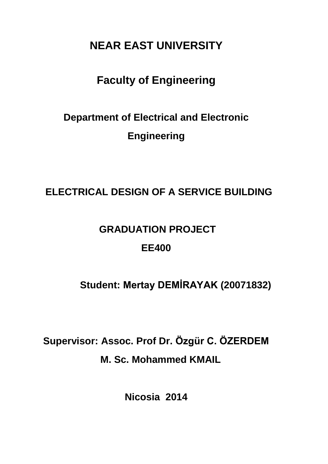## **NEAR EAST UNIVERSITY**

## **Faculty of Engineering**

# **Department of Electrical and Electronic Engineering**

## **ELECTRICAL DESIGN OF A SERVICE BUILDING**

## **GRADUATION PROJECT**

## **EE400**

## **Student: Mertay DEMİRAYAK (20071832)**

# **Supervisor: Assoc. Prof Dr. Özgür C. ÖZERDEM M. Sc. Mohammed KMAIL**

**Nicosia 2014**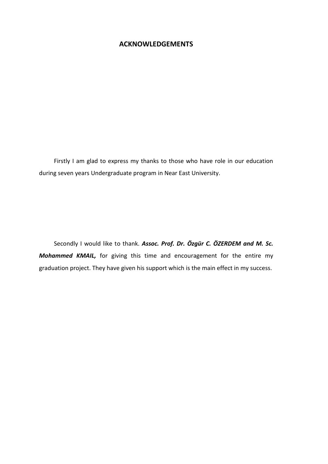#### **ACKNOWLEDGEMENTS**

Firstly I am glad to express my thanks to those who have role in our education during seven years Undergraduate program in Near East University.

Secondly I would like to thank. *Assoc. Prof. Dr. Özgür C. ÖZERDEM and M. Sc. Mohammed KMAIL,* for giving this time and encouragement for the entire my graduation project. They have given his support which is the main effect in my success.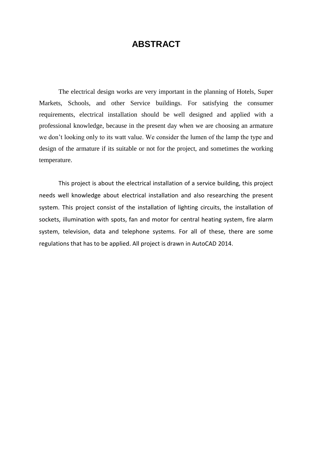### **ABSTRACT**

The electrical design works are very important in the planning of Hotels, Super Markets, Schools, and other Service buildings. For satisfying the consumer requirements, electrical installation should be well designed and applied with a professional knowledge, because in the present day when we are choosing an armature we don"t looking only to its watt value. We consider the lumen of the lamp the type and design of the armature if its suitable or not for the project, and sometimes the working temperature.

This project is about the electrical installation of a service building, this project needs well knowledge about electrical installation and also researching the present system. This project consist of the installation of lighting circuits, the installation of sockets, illumination with spots, fan and motor for central heating system, fire alarm system, television, data and telephone systems. For all of these, there are some regulations that has to be applied. All project is drawn in AutoCAD 2014.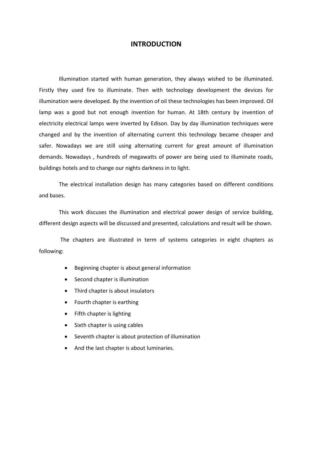#### **INTRODUCTION**

Illumination started with human generation, they always wished to be illuminated. Firstly they used fire to illuminate. Then with technology development the devices for illumination were developed. By the invention of oil these technologies has been improved. Oil lamp was a good but not enough invention for human. At 18th century by invention of electricity electrical lamps were inverted by Edison. Day by day illumination techniques were changed and by the invention of alternating current this technology became cheaper and safer. Nowadays we are still using alternating current for great amount of illumination demands. Nowadays , hundreds of megawatts of power are being used to illuminate roads, buildings hotels and to change our nights darkness in to light.

The electrical installation design has many categories based on different conditions and bases.

This work discuses the illumination and electrical power design of service building, different design aspects will be discussed and presented, calculations and result will be shown.

The chapters are illustrated in term of systems categories in eight chapters as following:

- Beginning chapter is about general information
- Second chapter is illumination
- Third chapter is about insulators
- Fourth chapter is earthing
- Fifth chapter is lighting
- Sixth chapter is using cables
- Seventh chapter is about protection of illumination
- And the last chapter is about luminaries.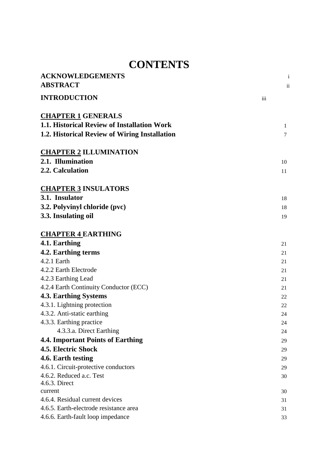## **CONTENTS**

| <b>ACKNOWLEDGEMENTS</b>                       | $\mathbf{i}$    |
|-----------------------------------------------|-----------------|
| <b>ABSTRACT</b>                               | $\ddot{\rm ii}$ |
| <b>INTRODUCTION</b>                           | iii             |
| <b>CHAPTER 1 GENERALS</b>                     |                 |
| 1.1. Historical Review of Installation Work   | $\mathbf{1}$    |
| 1.2. Historical Review of Wiring Installation | $\tau$          |
| <b>CHAPTER 2 ILLUMINATION</b>                 |                 |
| 2.1. Illumination                             | 10              |
| 2.2. Calculation                              | 11              |
| <b>CHAPTER 3 INSULATORS</b>                   |                 |
| 3.1. Insulator                                | 18              |
| 3.2. Polyvinyl chloride (pvc)                 | 18              |
| 3.3. Insulating oil                           | 19              |
| <b>CHAPTER 4 EARTHING</b>                     |                 |
| 4.1. Earthing                                 | 21              |
| 4.2. Earthing terms                           | 21              |
| 4.2.1 Earth                                   | 21              |
| 4.2.2 Earth Electrode                         | 21              |
| 4.2.3 Earthing Lead                           | 21              |
| 4.2.4 Earth Continuity Conductor (ECC)        | 21              |
| <b>4.3. Earthing Systems</b>                  | 22              |
| 4.3.1. Lightning protection                   | 22              |
| 4.3.2. Anti-static earthing                   | 24              |
| 4.3.3. Earthing practice                      | 24              |
| 4.3.3.a. Direct Earthing                      | 24              |
| <b>4.4. Important Points of Earthing</b>      | 29              |
| 4.5. Electric Shock                           | 29              |
| 4.6. Earth testing                            | 29              |
| 4.6.1. Circuit-protective conductors          | 29              |
| 4.6.2. Reduced a.c. Test                      | 30              |
| 4.6.3. Direct                                 |                 |
| current                                       | 30              |
| 4.6.4. Residual current devices               | 31              |
| 4.6.5. Earth-electrode resistance area        | 31              |
| 4.6.6. Earth-fault loop impedance             | 33              |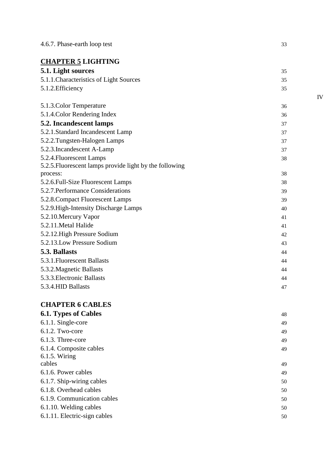| 4.6.7. Phase-earth loop test |  |
|------------------------------|--|
|                              |  |

### **CHAPTER 5 LIGHTING**

| 5.1. Light sources                      | 35 |
|-----------------------------------------|----|
| 5.1.1. Characteristics of Light Sources | 35 |
| 5.1.2. Efficiency                       | 35 |
|                                         |    |
| 5.1.3. Color Temperature                | 36 |

| 5.1.4. Color Rendering Index      | 36 |
|-----------------------------------|----|
| <b>5.2. Incandescent lamps</b>    | 37 |
| 5.2.1. Standard Incandescent Lamp | 37 |
| 5.2.2. Tungsten-Halogen Lamps     | 37 |
| 5.2.3. Incandescent A-Lamp        | 37 |
| 5.2.4. Fluorescent Lamps          | 38 |

| 5.2.5. Fluorescent lamps provide light by the following |    |
|---------------------------------------------------------|----|
| process:                                                | 38 |
| 5.2.6. Full-Size Fluorescent Lamps                      | 38 |

| 5.2.7. Performance Considerations     | 39 |
|---------------------------------------|----|
| 5.2.8. Compact Fluorescent Lamps      | 39 |
| 5.2.9. High-Intensity Discharge Lamps | 40 |
| 5.2.10. Mercury Vapor                 | 41 |
| 5.2.11. Metal Halide                  | 41 |
| 5.2.12. High Pressure Sodium          | 42 |
| 5.2.13. Low Pressure Sodium           | 43 |
| 5.3. Ballasts                         | 44 |
| 5.3.1. Fluorescent Ballasts           | 44 |
| 5.3.2. Magnetic Ballasts              | 44 |
| 5.3.3. Electronic Ballasts            | 44 |

## 5.3.4.HID Ballasts 47

### **CHAPTER 6 CABLES**

| <b>6.1. Types of Cables</b>  | 48 |
|------------------------------|----|
| 6.1.1. Single-core           | 49 |
| $6.1.2$ . Two-core           | 49 |
| 6.1.3. Three-core            | 49 |
| 6.1.4. Composite cables      | 49 |
| $6.1.5$ . Wiring             |    |
| cables                       | 49 |
| 6.1.6. Power cables          | 49 |
| 6.1.7. Ship-wiring cables    | 50 |
| 6.1.8. Overhead cables       | 50 |
| 6.1.9. Communication cables  | 50 |
| 6.1.10. Welding cables       | 50 |
| 6.1.11. Electric-sign cables | 50 |

IV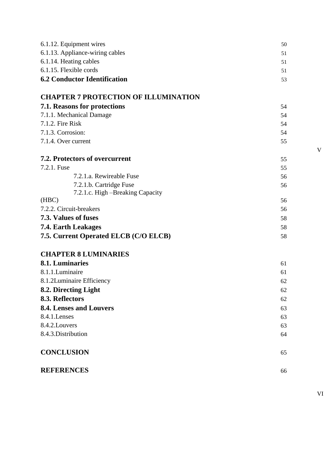| 6.1.12. Equipment wires                     | 50 |
|---------------------------------------------|----|
| 6.1.13. Appliance-wiring cables             | 51 |
| 6.1.14. Heating cables                      | 51 |
| 6.1.15. Flexible cords                      | 51 |
| <b>6.2 Conductor Identification</b>         | 53 |
| <b>CHAPTER 7 PROTECTION OF ILLUMINATION</b> |    |
| <b>7.1. Reasons for protections</b>         | 54 |
| 7.1.1. Mechanical Damage                    | 54 |
| 7.1.2. Fire Risk                            | 54 |
| 7.1.3. Corrosion:                           | 54 |
| 7.1.4. Over current                         | 55 |
| 7.2. Protectors of overcurrent              | 55 |
| 7.2.1. Fuse                                 | 55 |
| 7.2.1.a. Rewireable Fuse                    | 56 |
| 7.2.1.b. Cartridge Fuse                     | 56 |
| 7.2.1.c. High -Breaking Capacity            |    |
| (HBC)                                       | 56 |
| 7.2.2. Circuit-breakers                     | 56 |
| 7.3. Values of fuses                        | 58 |
| <b>7.4. Earth Leakages</b>                  | 58 |
| 7.5. Current Operated ELCB (C/O ELCB)       | 58 |
| <b>CHAPTER 8 LUMINARIES</b>                 |    |
| 8.1. Luminaries                             | 61 |
| 8.1.1. Luminaire                            | 61 |
| 8.1.2Luminaire Efficiency                   | 62 |
| 8.2. Directing Light                        | 62 |
| 8.3. Reflectors                             | 62 |
| <b>8.4. Lenses and Louvers</b>              | 63 |
| 8.4.1. Lenses                               | 63 |
| 8.4.2. Louvers                              | 63 |
| 8.4.3. Distribution                         | 64 |
| <b>CONCLUSION</b>                           | 65 |
| <b>REFERENCES</b>                           | 66 |

V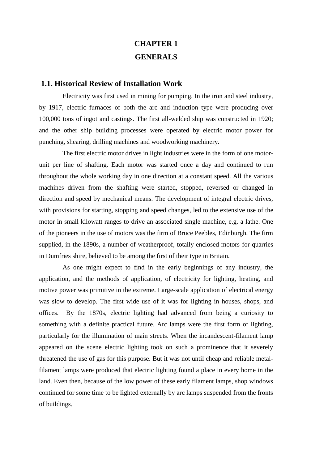## **CHAPTER 1 GENERALS**

#### **1.1. Historical Review of Installation Work**

Electricity was first used in mining for pumping. In the iron and steel industry, by 1917, electric furnaces of both the arc and induction type were producing over 100,000 tons of ingot and castings. The first all-welded ship was constructed in 1920; and the other ship building processes were operated by electric motor power for punching, shearing, drilling machines and woodworking machinery.

The first electric motor drives in light industries were in the form of one motorunit per line of shafting. Each motor was started once a day and continued to run throughout the whole working day in one direction at a constant speed. All the various machines driven from the shafting were started, stopped, reversed or changed in direction and speed by mechanical means. The development of integral electric drives, with provisions for starting, stopping and speed changes, led to the extensive use of the motor in small kilowatt ranges to drive an associated single machine, e.g. a lathe. One of the pioneers in the use of motors was the firm of Bruce Peebles, Edinburgh. The firm supplied, in the 1890s, a number of weatherproof, totally enclosed motors for quarries in Dumfries shire, believed to be among the first of their type in Britain.

As one might expect to find in the early beginnings of any industry, the application, and the methods of application, of electricity for lighting, heating, and motive power was primitive in the extreme. Large-scale application of electrical energy was slow to develop. The first wide use of it was for lighting in houses, shops, and offices. By the 1870s, electric lighting had advanced from being a curiosity to something with a definite practical future. Arc lamps were the first form of lighting, particularly for the illumination of main streets. When the incandescent-filament lamp appeared on the scene electric lighting took on such a prominence that it severely threatened the use of gas for this purpose. But it was not until cheap and reliable metalfilament lamps were produced that electric lighting found a place in every home in the land. Even then, because of the low power of these early filament lamps, shop windows continued for some time to be lighted externally by arc lamps suspended from the fronts of buildings.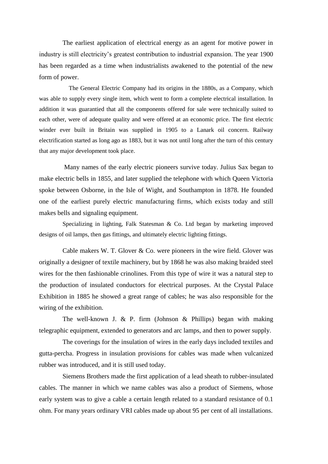The earliest application of electrical energy as an agent for motive power in industry is still electricity"s greatest contribution to industrial expansion. The year 1900 has been regarded as a time when industrialists awakened to the potential of the new form of power.

The General Electric Company had its origins in the 1880s, as a Company, which was able to supply every single item, which went to form a complete electrical installation. In addition it was guarantied that all the components offered for sale were technically suited to each other, were of adequate quality and were offered at an economic price. The first electric winder ever built in Britain was supplied in 1905 to a Lanark oil concern. Railway electrification started as long ago as 1883, but it was not until long after the turn of this century that any major development took place.

Many names of the early electric pioneers survive today. Julius Sax began to make electric bells in 1855, and later supplied the telephone with which Queen Victoria spoke between Osborne, in the Isle of Wight, and Southampton in 1878. He founded one of the earliest purely electric manufacturing firms, which exists today and still makes bells and signaling equipment.

Specializing in lighting, Falk Statesman & Co. Ltd began by marketing improved designs of oil lamps, then gas fittings, and ultimately electric lighting fittings.

Cable makers W. T. Glover & Co. were pioneers in the wire field. Glover was originally a designer of textile machinery, but by 1868 he was also making braided steel wires for the then fashionable crinolines. From this type of wire it was a natural step to the production of insulated conductors for electrical purposes. At the Crystal Palace Exhibition in 1885 he showed a great range of cables; he was also responsible for the wiring of the exhibition.

The well-known J. & P. firm (Johnson & Phillips) began with making telegraphic equipment, extended to generators and arc lamps, and then to power supply.

The coverings for the insulation of wires in the early days included textiles and gutta-percha. Progress in insulation provisions for cables was made when vulcanized rubber was introduced, and it is still used today.

Siemens Brothers made the first application of a lead sheath to rubber-insulated cables. The manner in which we name cables was also a product of Siemens, whose early system was to give a cable a certain length related to a standard resistance of 0.1 ohm. For many years ordinary VRI cables made up about 95 per cent of all installations.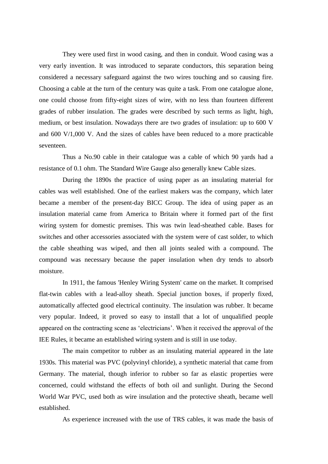They were used first in wood casing, and then in conduit. Wood casing was a very early invention. It was introduced to separate conductors, this separation being considered a necessary safeguard against the two wires touching and so causing fire. Choosing a cable at the turn of the century was quite a task. From one catalogue alone, one could choose from fifty-eight sizes of wire, with no less than fourteen different grades of rubber insulation. The grades were described by such terms as light, high, medium, or best insulation. Nowadays there are two grades of insulation: up to 600 V and 600 V/1,000 V. And the sizes of cables have been reduced to a more practicable seventeen.

Thus a No.90 cable in their catalogue was a cable of which 90 yards had a resistance of 0.1 ohm. The Standard Wire Gauge also generally knew Cable sizes.

During the 1890s the practice of using paper as an insulating material for cables was well established. One of the earliest makers was the company, which later became a member of the present-day BICC Group. The idea of using paper as an insulation material came from America to Britain where it formed part of the first wiring system for domestic premises. This was twin lead-sheathed cable. Bases for switches and other accessories associated with the system were of cast solder, to which the cable sheathing was wiped, and then all joints sealed with a compound. The compound was necessary because the paper insulation when dry tends to absorb moisture.

In 1911, the famous 'Henley Wiring System' came on the market. It comprised flat-twin cables with a lead-alloy sheath. Special junction boxes, if properly fixed, automatically affected good electrical continuity. The insulation was rubber. It became very popular. Indeed, it proved so easy to install that a lot of unqualified people appeared on the contracting scene as "electricians". When it received the approval of the IEE Rules, it became an established wiring system and is still in use today.

The main competitor to rubber as an insulating material appeared in the late 1930s. This material was PVC (polyvinyl chloride), a synthetic material that came from Germany. The material, though inferior to rubber so far as elastic properties were concerned, could withstand the effects of both oil and sunlight. During the Second World War PVC, used both as wire insulation and the protective sheath, became well established.

As experience increased with the use of TRS cables, it was made the basis of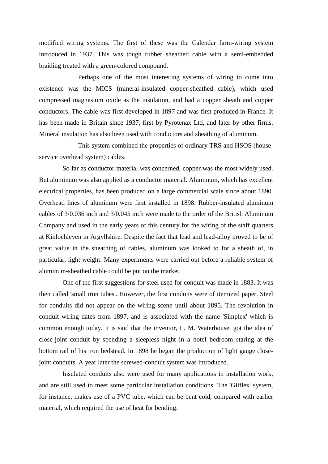modified wiring systems. The first of these was the Calendar farm-wiring system introduced in 1937. This was tough rubber sheathed cable with a semi-embedded braiding treated with a green-colored compound.

Perhaps one of the most interesting systems of wiring to come into existence was the MICS (mineral-insulated copper-sheathed cable), which used compressed magnesium oxide as the insulation, and had a copper sheath and copper conductors. The cable was first developed in 1897 and was first produced in France. It has been made in Britain since 1937, first by Pyrotenax Ltd, and later by other firms. Mineral insulation has also been used with conductors and sheathing of aluminum.

This system combined the properties of ordinary TRS and HSOS (houseservice overhead system) cables.

So far as conductor material was concerned, copper was the most widely used. But aluminum was also applied as a conductor material. Aluminum, which has excellent electrical properties, has been produced on a large commercial scale since about 1890. Overhead lines of aluminum were first installed in 1898. Rubber-insulated aluminum cables of 3/0.036 inch and 3/0.045 inch were made to the order of the British Aluminum Company and used in the early years of this century for the wiring of the staff quarters at Kinlochleven in Argyllshire. Despite the fact that lead and lead-alloy proved to be of great value in the sheathing of cables, aluminum was looked to for a sheath of, in particular, light weight. Many experiments were carried out before a reliable system of aluminum-sheathed cable could be put on the market.

One of the first suggestions for steel used for conduit was made in 1883. It was then called 'small iron tubes'. However, the first conduits were of itemized paper. Steel for conduits did not appear on the wiring scene until about 1895. The revolution in conduit wiring dates from 1897, and is associated with the name 'Simplex' which is common enough today. It is said that the inventor, L. M. Waterhouse, got the idea of close-joint conduit by spending a sleepless night in a hotel bedroom staring at the bottom rail of his iron bedstead. In 1898 he began the production of light gauge closejoint conduits. A year later the screwed-conduit system was introduced.

Insulated conduits also were used for many applications in installation work, and are still used to meet some particular installation conditions. The 'Gilflex' system, for instance, makes use of a PVC tube, which can be bent cold, compared with earlier material, which required the use of heat for bending.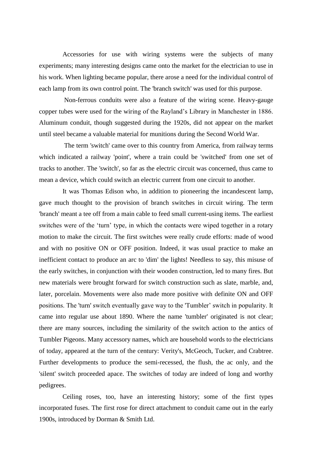Accessories for use with wiring systems were the subjects of many experiments; many interesting designs came onto the market for the electrician to use in his work. When lighting became popular, there arose a need for the individual control of each lamp from its own control point. The 'branch switch' was used for this purpose.

Non-ferrous conduits were also a feature of the wiring scene. Heavy-gauge copper tubes were used for the wiring of the Rayland"s Library in Manchester in 1886. Aluminum conduit, though suggested during the 1920s, did not appear on the market until steel became a valuable material for munitions during the Second World War.

The term 'switch' came over to this country from America, from railway terms which indicated a railway 'point', where a train could be 'switched' from one set of tracks to another. The 'switch', so far as the electric circuit was concerned, thus came to mean a device, which could switch an electric current from one circuit to another.

It was Thomas Edison who, in addition to pioneering the incandescent lamp, gave much thought to the provision of branch switches in circuit wiring. The term 'branch' meant a tee off from a main cable to feed small current-using items. The earliest switches were of the "turn" type, in which the contacts were wiped together in a rotary motion to make the circuit. The first switches were really crude efforts: made of wood and with no positive ON or OFF position. Indeed, it was usual practice to make an inefficient contact to produce an arc to 'dim' the lights! Needless to say, this misuse of the early switches, in conjunction with their wooden construction, led to many fires. But new materials were brought forward for switch construction such as slate, marble, and, later, porcelain. Movements were also made more positive with definite ON and OFF positions. The 'turn' switch eventually gave way to the 'Tumbler" switch in popularity. It came into regular use about 1890. Where the name 'tumbler' originated is not clear; there are many sources, including the similarity of the switch action to the antics of Tumbler Pigeons. Many accessory names, which are household words to the electricians of today, appeared at the turn of the century: Verity's, McGeoch, Tucker, and Crabtree. Further developments to produce the semi-recessed, the flush, the ac only, and the 'silent' switch proceeded apace. The switches of today are indeed of long and worthy pedigrees.

Ceiling roses, too, have an interesting history; some of the first types incorporated fuses. The first rose for direct attachment to conduit came out in the early 1900s, introduced by Dorman & Smith Ltd.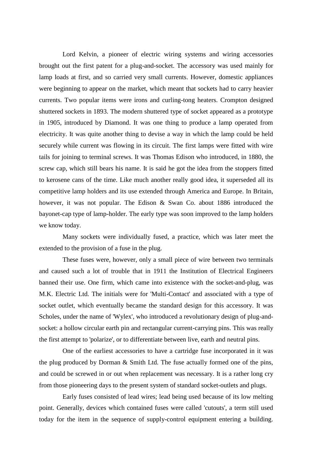Lord Kelvin, a pioneer of electric wiring systems and wiring accessories brought out the first patent for a plug-and-socket. The accessory was used mainly for lamp loads at first, and so carried very small currents. However, domestic appliances were beginning to appear on the market, which meant that sockets had to carry heavier currents. Two popular items were irons and curling-tong heaters. Crompton designed shuttered sockets in 1893. The modern shuttered type of socket appeared as a prototype in 1905, introduced by Diamond. It was one thing to produce a lamp operated from electricity. It was quite another thing to devise a way in which the lamp could be held securely while current was flowing in its circuit. The first lamps were fitted with wire tails for joining to terminal screws. It was Thomas Edison who introduced, in 1880, the screw cap, which still bears his name. It is said he got the idea from the stoppers fitted to kerosene cans of the time. Like much another really good idea, it superseded all its competitive lamp holders and its use extended through America and Europe. In Britain, however, it was not popular. The Edison & Swan Co. about 1886 introduced the bayonet-cap type of lamp-holder. The early type was soon improved to the lamp holders we know today.

Many sockets were individually fused, a practice, which was later meet the extended to the provision of a fuse in the plug.

These fuses were, however, only a small piece of wire between two terminals and caused such a lot of trouble that in 1911 the Institution of Electrical Engineers banned their use. One firm, which came into existence with the socket-and-plug, was M.K. Electric Ltd. The initials were for 'Multi-Contact' and associated with a type of socket outlet, which eventually became the standard design for this accessory. It was Scholes, under the name of 'Wylex', who introduced a revolutionary design of plug-andsocket: a hollow circular earth pin and rectangular current-carrying pins. This was really the first attempt to 'polarize', or to differentiate between live, earth and neutral pins.

One of the earliest accessories to have a cartridge fuse incorporated in it was the plug produced by Dorman & Smith Ltd. The fuse actually formed one of the pins, and could be screwed in or out when replacement was necessary. It is a rather long cry from those pioneering days to the present system of standard socket-outlets and plugs.

Early fuses consisted of lead wires; lead being used because of its low melting point. Generally, devices which contained fuses were called 'cutouts', a term still used today for the item in the sequence of supply-control equipment entering a building.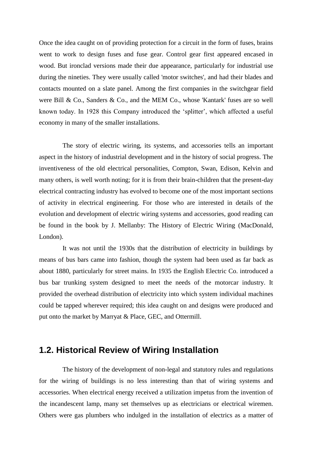Once the idea caught on of providing protection for a circuit in the form of fuses, brains went to work to design fuses and fuse gear. Control gear first appeared encased in wood. But ironclad versions made their due appearance, particularly for industrial use during the nineties. They were usually called 'motor switches', and had their blades and contacts mounted on a slate panel. Among the first companies in the switchgear field were Bill & Co., Sanders & Co., and the MEM Co., whose 'Kantark' fuses are so well known today. In 1928 this Company introduced the "splitter", which affected a useful economy in many of the smaller installations.

The story of electric wiring, its systems, and accessories tells an important aspect in the history of industrial development and in the history of social progress. The inventiveness of the old electrical personalities, Compton, Swan, Edison, Kelvin and many others, is well worth noting; for it is from their brain-children that the present-day electrical contracting industry has evolved to become one of the most important sections of activity in electrical engineering. For those who are interested in details of the evolution and development of electric wiring systems and accessories, good reading can be found in the book by J. Mellanby: The History of Electric Wiring (MacDonald, London).

It was not until the 1930s that the distribution of electricity in buildings by means of bus bars came into fashion, though the system had been used as far back as about 1880, particularly for street mains. In 1935 the English Electric Co. introduced a bus bar trunking system designed to meet the needs of the motorcar industry. It provided the overhead distribution of electricity into which system individual machines could be tapped wherever required; this idea caught on and designs were produced and put onto the market by Marryat & Place, GEC, and Ottermill.

### **1.2. Historical Review of Wiring Installation**

The history of the development of non-legal and statutory rules and regulations for the wiring of buildings is no less interesting than that of wiring systems and accessories. When electrical energy received a utilization impetus from the invention of the incandescent lamp, many set themselves up as electricians or electrical wiremen. Others were gas plumbers who indulged in the installation of electrics as a matter of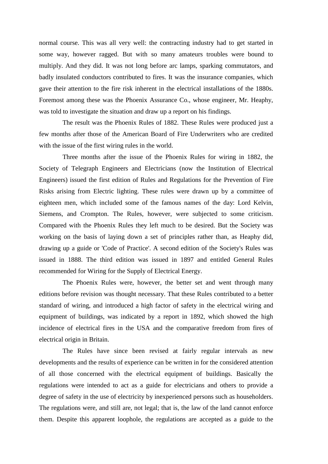normal course. This was all very well: the contracting industry had to get started in some way, however ragged. But with so many amateurs troubles were bound to multiply. And they did. It was not long before arc lamps, sparking commutators, and badly insulated conductors contributed to fires. It was the insurance companies, which gave their attention to the fire risk inherent in the electrical installations of the 1880s. Foremost among these was the Phoenix Assurance Co., whose engineer, Mr. Heaphy, was told to investigate the situation and draw up a report on his findings.

The result was the Phoenix Rules of 1882. These Rules were produced just a few months after those of the American Board of Fire Underwriters who are credited with the issue of the first wiring rules in the world.

Three months after the issue of the Phoenix Rules for wiring in 1882, the Society of Telegraph Engineers and Electricians (now the Institution of Electrical Engineers) issued the first edition of Rules and Regulations for the Prevention of Fire Risks arising from Electric lighting. These rules were drawn up by a committee of eighteen men, which included some of the famous names of the day: Lord Kelvin, Siemens, and Crompton. The Rules, however, were subjected to some criticism. Compared with the Phoenix Rules they left much to be desired. But the Society was working on the basis of laying down a set of principles rather than, as Heaphy did, drawing up a guide or 'Code of Practice'. A second edition of the Society's Rules was issued in 1888. The third edition was issued in 1897 and entitled General Rules recommended for Wiring for the Supply of Electrical Energy.

The Phoenix Rules were, however, the better set and went through many editions before revision was thought necessary. That these Rules contributed to a better standard of wiring, and introduced a high factor of safety in the electrical wiring and equipment of buildings, was indicated by a report in 1892, which showed the high incidence of electrical fires in the USA and the comparative freedom from fires of electrical origin in Britain.

The Rules have since been revised at fairly regular intervals as new developments and the results of experience can be written in for the considered attention of all those concerned with the electrical equipment of buildings. Basically the regulations were intended to act as a guide for electricians and others to provide a degree of safety in the use of electricity by inexperienced persons such as householders. The regulations were, and still are, not legal; that is, the law of the land cannot enforce them. Despite this apparent loophole, the regulations are accepted as a guide to the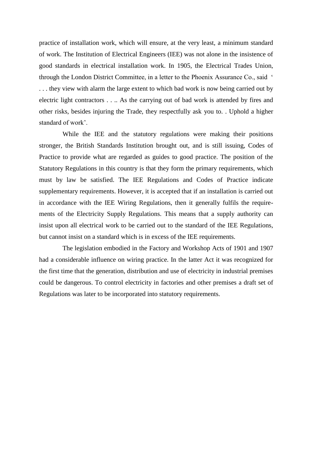practice of installation work, which will ensure, at the very least, a minimum standard of work. The Institution of Electrical Engineers (IEE) was not alone in the insistence of good standards in electrical installation work. In 1905, the Electrical Trades Union, through the London District Committee, in a letter to the Phoenix Assurance Co., said " . . . they view with alarm the large extent to which bad work is now being carried out by electric light contractors . . .. As the carrying out of bad work is attended by fires and other risks, besides injuring the Trade, they respectfully ask you to. . Uphold a higher standard of work".

While the IEE and the statutory regulations were making their positions stronger, the British Standards Institution brought out, and is still issuing, Codes of Practice to provide what are regarded as guides to good practice. The position of the Statutory Regulations in this country is that they form the primary requirements, which must by law be satisfied. The IEE Regulations and Codes of Practice indicate supplementary requirements. However, it is accepted that if an installation is carried out in accordance with the IEE Wiring Regulations, then it generally fulfils the requirements of the Electricity Supply Regulations. This means that a supply authority can insist upon all electrical work to be carried out to the standard of the IEE Regulations, but cannot insist on a standard which is in excess of the IEE requirements.

The legislation embodied in the Factory and Workshop Acts of 1901 and 1907 had a considerable influence on wiring practice. In the latter Act it was recognized for the first time that the generation, distribution and use of electricity in industrial premises could be dangerous. To control electricity in factories and other premises a draft set of Regulations was later to be incorporated into statutory requirements.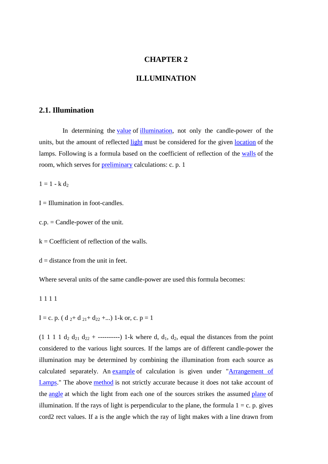#### **CHAPTER 2**

#### **ILLUMINATION**

#### **2.1. Illumination**

In determining the [value](http://chestofbooks.com/architecture/Cyclopedia-Carpentry-Building-7-10/29-Values.html) of [illumination,](http://chestofbooks.com/architecture/Cyclopedia-Carpentry-Building-7-10/Illumination.html) not only the candle-power of the units, but the amount of reflected [light](http://chestofbooks.com/architecture/Cyclopedia-Carpentry-Building-7-10/Light-And-Shade.html) must be considered for the given [location](http://chestofbooks.com/architecture/Cyclopedia-Carpentry-Building-1-3/Furnace.html#location) of the lamps. Following is a formula based on the coefficient of reflection of the [walls](http://chestofbooks.com/architecture/Cyclopedia-Carpentry-Building-1-3/Carpenter-Work-Framing.html#walls) of the room, which serves for [preliminary](http://chestofbooks.com/architecture/Cyclopedia-Carpentry-Building-1-3/I-Preliminary.html) calculations: c. p. 1

 $1 = 1 - k d_2$ 

 $I = I$ llumination in foot-candles.

c.p. = Candle-power of the unit.

 $k =$  Coefficient of reflection of the walls.

 $d =$  distance from the unit in feet.

Where several units of the same candle-power are used this formula becomes:

1 1 1 1

I = c. p. ( d  $_{2}+$  d  $_{21}+$  d<sub>22</sub> +...) 1-k or, c. p = 1

 $(1\ 1\ 1\ 1\ d_2\ d_{21}\ d_{22} + \dots$ --------------) 1-k where d,  $d_1$ ,  $d_2$ , equal the distances from the point considered to the various light sources. If the lamps are of different candle-power the illumination may be determined by combining the illumination from each source as calculated separately. An [example](http://chestofbooks.com/architecture/Cyclopedia-Carpentry-Building-4-6/224-Theoretical-Formulae.html#example) of calculation is given under ["Arrangement](http://chestofbooks.com/architecture/Cyclopedia-Carpentry-Building-7-10/Arrangement-Of-Lamps.html) of [Lamps.](http://chestofbooks.com/architecture/Cyclopedia-Carpentry-Building-7-10/Arrangement-Of-Lamps.html)" The above [method](http://chestofbooks.com/architecture/Cyclopedia-Carpentry-Building-4-6/163-Methods.html) is not strictly accurate because it does not take account of the [angle](http://chestofbooks.com/architecture/Cyclopedia-Carpentry-Building-4-6/Mechanical-Drawing-Part-II-Geometrical-Definitions.html#angles) at which the light from each one of the sources strikes the assumed [plane](http://chestofbooks.com/architecture/Cyclopedia-Carpentry-Building-1-3/Planes.html) of illumination. If the rays of light is perpendicular to the plane, the formula  $1 = c$ . p. gives cord2 rect values. If a is the angle which the ray of light makes with a line drawn from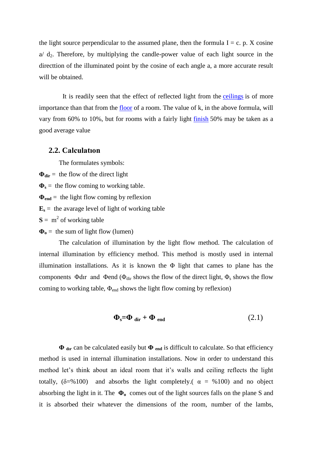the light source perpendicular to the assumed plane, then the formula  $I = c$ . p. X cosine  $a/d<sub>2</sub>$ . Therefore, by multiplying the candle-power value of each light source in the directtion of the illuminated point by the cosine of each angle a, a more accurate result will be obtained.

It is readily seen that the effect of reflected light from the [ceilings](http://chestofbooks.com/architecture/Cyclopedia-Carpentry-Building-1-3/Roof-And-Ceilings.html) is of more importance than that from the [floor](http://chestofbooks.com/architecture/Cyclopedia-Carpentry-Building-4-6/The-Floors.html) of a room. The value of k, in the above formula, will vary from 60% to 10%, but for rooms with a fairly light [finish](http://chestofbooks.com/architecture/Cyclopedia-Carpentry-Building-1-3/Lumber-For-Construction-And-Finish.html) 50% may be taken as a good average value

#### **2.2. Calculatıon**

The formulates symbols:  $\Phi_{\text{dir}}$  = the flow of the direct light  $\Phi$ <sub>s</sub> = the flow coming to working table.  $\Phi_{\text{end}}$  = the light flow coming by reflexion  $\mathbf{E}_s$  = the avarage level of light of working table  $S = m^2$  of working table  $\Phi$ <sup>o</sup> = the sum of light flow (lumen)

The calculation of illumination by the light flow method. The calculation of internal illumination by efficiency method. This method is mostly used in internal illumination installations. As it is known the  $\Phi$  light that cames to plane has the components Φdır and Φend ( $\Phi_{\text{dir}}$  shows the flow of the direct light,  $\Phi_{\text{s}}$  shows the flow coming to working table,  $\Phi_{\text{end}}$  shows the light flow coming by reflexion)

$$
\Phi_{\rm s} = \Phi_{\rm dir} + \Phi_{\rm end} \tag{2.1}
$$

**Φ dır** can be calculated easily but **Φ end** is difficult to calculate. So that efficiency method is used in internal illumination installations. Now in order to understand this method let's think about an ideal room that it's walls and ceiling reflects the light totally,  $(\delta = \frac{100}{90})$  and absorbs the light completely.  $\alpha = \frac{100}{90}$  and no object absorbing the light in it. The **Φ<sup>o</sup>** comes out of the light sources falls on the plane S and it is absorbed their whatever the dimensions of the room, number of the lambs,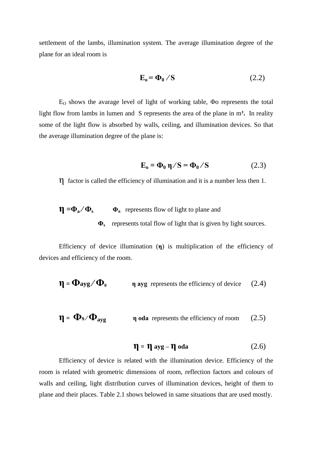settlement of the lambs, illumination system. The average illumination degree of the plane for an ideal room is

$$
\mathbf{E}_0 = \mathbf{\Phi}_0 / \mathbf{S} \tag{2.2}
$$

 $E<sub>O</sub>$  shows the avarage level of light of working table,  $\Phi$ o represents the total light flow from lambs in lumen and S represents the area of the plane in m**².** In reality some of the light flow is absorbed by walls, ceiling, and illumination devices. So that the average illumination degree of the plane is:

$$
\mathbf{E}_o = \mathbf{\Phi}_0 \mathbf{\eta} / \mathbf{S} = \mathbf{\Phi}_0 / \mathbf{S}
$$
 (2.3)

ηfactor is called the efficiency of illumination and it is a number less then 1.

$$
\mathbf{\eta} = \mathbf{\Phi}_a / \mathbf{\Phi}_s
$$
 \t\t\t\t\t $\mathbf{\Phi}_a$  represents flow of light to plane and

**Φ<sup>s</sup>** represents total flow of light that is given by light sources.

Efficiency of device illumination (**η**) is multiplication of the efficiency of devices and efficiency of the room.

$$
\mathbf{\eta} = \mathbf{\Phi}_{\mathbf{a}\mathbf{y}\mathbf{g}} / \mathbf{\Phi}_{\mathbf{0}} \qquad \mathbf{\eta} \text{ avg represents the efficiency of device} \quad (2.4)
$$

**η =**  $\Phi$ **s**  $\Phi$ **ayg η oda** represents the efficiency of room (2.5)

$$
\mathbf{\eta} = \mathbf{\eta} \text{ avg} - \mathbf{\eta} \text{ oda} \tag{2.6}
$$

Efficiency of device is related with the illumination device. Efficiency of the room is related with geometric dimensions of room, reflection factors and colours of walls and ceiling, light distribution curves of illumination devices, height of them to plane and their places. Table 2.1 shows belowed in same situations that are used mostly.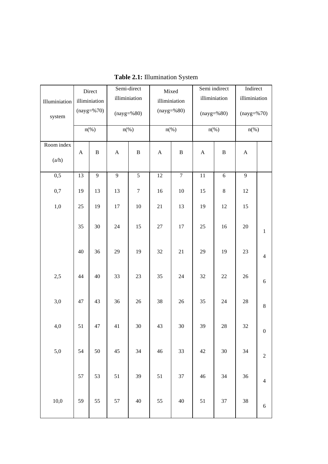| Illuminiation<br>system |                           | Semi-direct<br>Direct<br>Mixed<br>illiminiation<br>illiminiation<br>illiminiation<br>$(nayg=%70)$<br>$(nayg=%80)$<br>$(nayg=%80)$ |                |                                          |              | Semi indirect<br>illiminiation<br>$(nayg=%80)$ |                    | Indirect<br>illiminiation<br>$(nayg=%70)$ |                    |                  |
|-------------------------|---------------------------|-----------------------------------------------------------------------------------------------------------------------------------|----------------|------------------------------------------|--------------|------------------------------------------------|--------------------|-------------------------------------------|--------------------|------------------|
|                         |                           | $n\left(\%\right)$                                                                                                                |                | $n\left(\%\right)$<br>$n\left(\%\right)$ |              |                                                | $n\left(\%\right)$ |                                           | $n\left(\%\right)$ |                  |
| Room index<br>(a/h)     | $\boldsymbol{\mathsf{A}}$ | $\, {\bf B}$                                                                                                                      | $\mathbf{A}$   | $\mathbf B$                              | $\mathbf{A}$ | $\, {\bf B}$                                   | $\mathbf{A}$       | $\bf{B}$                                  | $\mathbf{A}$       |                  |
| 0,5                     | 13                        | $\overline{9}$                                                                                                                    | $\overline{9}$ | $\overline{5}$                           | 12           | $\overline{7}$                                 | $11\,$             | 6                                         | $\overline{9}$     |                  |
| 0,7                     | 19                        | 13                                                                                                                                | 13             | $\tau$                                   | 16           | $10\,$                                         | 15                 | $8\,$                                     | 12                 |                  |
| 1,0                     | 25                        | 19                                                                                                                                | 17             | $10\,$                                   | 21           | 13                                             | 19                 | 12                                        | 15                 |                  |
|                         | 35                        | $30\,$                                                                                                                            | 24             | 15                                       | 27           | 17                                             | 25                 | 16                                        | 20                 | $\mathbf{1}$     |
|                         | 40                        | 36                                                                                                                                | 29             | 19                                       | $32\,$       | 21                                             | 29                 | 19                                        | $23\,$             | $\overline{4}$   |
| 2,5                     | $44$                      | $40\,$                                                                                                                            | 33             | 23                                       | 35           | 24                                             | 32                 | $22\,$                                    | 26                 | 6                |
| 3,0                     | 47                        | 43                                                                                                                                | 36             | 26                                       | 38           | 26                                             | 35                 | 24                                        | 28                 | $8\,$            |
| 4,0                     | 51                        | 47                                                                                                                                | 41             | 30                                       | 43           | 30                                             | 39                 | $28\,$                                    | 32                 | $\boldsymbol{0}$ |
| 5,0                     | 54                        | 50                                                                                                                                | 45             | 34                                       | $46\,$       | 33                                             | 42                 | 30                                        | 34                 | $\overline{c}$   |
|                         | 57                        | 53                                                                                                                                | 51             | 39                                       | 51           | 37                                             | 46                 | 34                                        | 36                 | $\overline{4}$   |
| 10,0                    | 59                        | 55                                                                                                                                | 57             | 40                                       | 55           | $40\,$                                         | 51                 | 37                                        | 38                 | $\sqrt{6}$       |

**Table 2.1:** Illumination System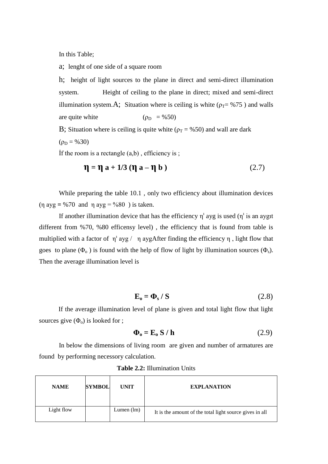In this Table;

a; lenght of one side of a square room

h; height of light sources to the plane in direct and semi-direct illumination system. Height of ceiling to the plane in direct; mixed and semi-direct illumination system.A; Situation where is ceiling is white ( $\rho_T$ = %75) and walls are quite white ( $\rho_D = %50$ ) B; Situation where is ceiling is quite white ( $\rho_T = 0.650$ ) and wall are dark  $(p_D = %30)$ 

If the room is a rectangle  $(a,b)$ , efficiency is;

$$
\eta = \eta a + 1/3 (\eta a - \eta b)
$$
 (2.7)

While preparing the table 10.1 , only two efficiency about illumination devices (η ayg = %70 and  $\eta$  ayg = %80 ) is taken.

If another illumination device that has the efficiency  $\eta^1$  ayg is used  $(\eta^1)$  is an aygit different from %70, %80 efficensy level) , the efficiency that is found from table is multiplied with a factor of  $\eta^1$  ayg /  $\eta$  ayg After finding the efficiency  $\eta$ , light flow that goes to plane  $(\Phi_0)$  is found with the help of flow of light by illumination sources  $(\Phi_0)$ . Then the average illumination level is

$$
\mathbf{E}_o = \mathbf{\Phi}_s / \mathbf{S} \tag{2.8}
$$

If the average illumination level of plane is given and total light flow that light sources give  $(\Phi_0)$  is looked for ;

$$
\mathbf{\Phi}_o = \mathbf{E}_o \mathbf{S} / \mathbf{h} \tag{2.9}
$$

In below the dimensions of living room are given and number of armatures are found by performing necessory calculation.

| <b>NAME</b> | <b>SYMBOL</b> | <b>UNIT</b>  | <b>EXPLANATION</b>                                      |
|-------------|---------------|--------------|---------------------------------------------------------|
| Light flow  |               | Lumen $(lm)$ | It is the amount of the total light source gives in all |

**Table 2.2:** Illumination Units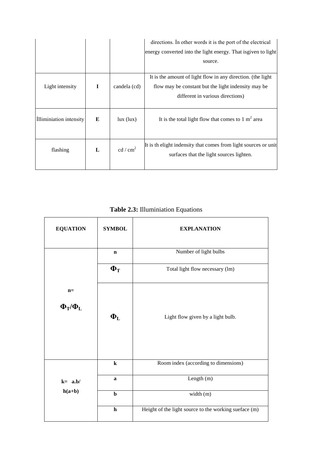|                         |              |                    | directions. In other words it is the port of the electrical                                                 |
|-------------------------|--------------|--------------------|-------------------------------------------------------------------------------------------------------------|
|                         |              |                    | energy converted into the light energy. That is given to light                                              |
|                         |              |                    | source.                                                                                                     |
|                         |              |                    | It is the amount of light flow in any direction. (the light                                                 |
| Light intensity         | $\mathbf I$  | candela (cd)       | flow may be constant but the light indensity may be                                                         |
|                         |              |                    | different in various directions)                                                                            |
|                         |              |                    |                                                                                                             |
| Illiminiation intensity | E            | lux (lux)          | It is the total light flow that comes to 1 $m2$ area                                                        |
| flashing                | $\mathbf{L}$ | cd/cm <sup>2</sup> | It is the light indensity that comes from light sources or unit<br>surfaces that the light sources lighten. |

**Table 2.3:** Illuminiation Equations

| <b>EQUATION</b>                       | <b>SYMBOL</b>  | <b>EXPLANATION</b>                                    |
|---------------------------------------|----------------|-------------------------------------------------------|
|                                       | $\mathbf n$    | Number of light bulbs                                 |
|                                       | $\Phi_{\rm T}$ | Total light flow necessary (lm)                       |
| $n=$<br>$\Phi_{\rm T}\!/\Phi_{\rm L}$ | $\Phi_{\rm L}$ | Light flow given by a light bulb.                     |
|                                       | $\bf k$        | Room index (according to dimensions)                  |
| $k=$ a.b/                             | $\mathbf{a}$   | Length (m)                                            |
| $h(a+b)$                              | $\mathbf b$    | width (m)                                             |
|                                       | ${\bf h}$      | Height of the light source to the working sueface (m) |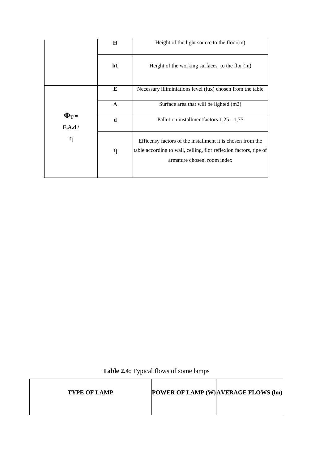|                      | $\bf H$      | Height of the light source to the floor $(m)$                                                                                                                  |
|----------------------|--------------|----------------------------------------------------------------------------------------------------------------------------------------------------------------|
|                      | h1           | Height of the working surfaces to the flor (m)                                                                                                                 |
|                      | E            | Necessary illiminiations level (lux) chosen from the table                                                                                                     |
|                      | $\mathbf{A}$ | Surface area that will be lighted (m2)                                                                                                                         |
| $\Phi_T =$<br>E.A.d/ | d            | Pallution installment factors 1,25 - 1,75                                                                                                                      |
| η                    | η            | Efficensy factors of the installment it is chosen from the<br>table according to wall, ceiling, flor reflexion factors, tipe of<br>armature chosen, room index |

**Table 2.4:** Typical flows of some lamps

| <b>TYPE OF LAMP</b> | <b>POWER OF LAMP (W) AVERAGE FLOWS (lm)</b> |
|---------------------|---------------------------------------------|
|                     |                                             |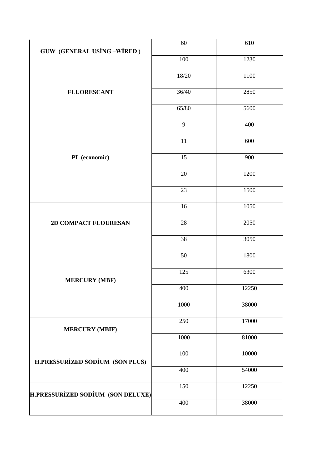| <b>GUW (GENERAL USING -WIRED)</b> | 60              | 610   |
|-----------------------------------|-----------------|-------|
|                                   | 100             | 1230  |
|                                   | 18/20           | 1100  |
| <b>FLUORESCANT</b>                | 36/40           | 2850  |
|                                   | 65/80           | 5600  |
|                                   | $\overline{9}$  | 400   |
|                                   | 11              | 600   |
| PL (economic)                     | $\overline{15}$ | 900   |
|                                   | 20              | 1200  |
|                                   | 23              | 1500  |
|                                   | 16              | 1050  |
| 2D COMPACT FLOURESAN              | 28              | 2050  |
|                                   | 38              | 3050  |
|                                   | 50              | 1800  |
| <b>MERCURY (MBF)</b>              | 125             | 6300  |
|                                   | 400             | 12250 |
|                                   | 1000            | 38000 |
| <b>MERCURY (MBIF)</b>             | 250             | 17000 |
|                                   | 1000            | 81000 |
| H.PRESSURİZED SODİUM (SON PLUS)   | 100             | 10000 |
|                                   | 400             | 54000 |
| H.PRESSURİZED SODİUM (SON DELUXE) | 150             | 12250 |
|                                   | 400             | 38000 |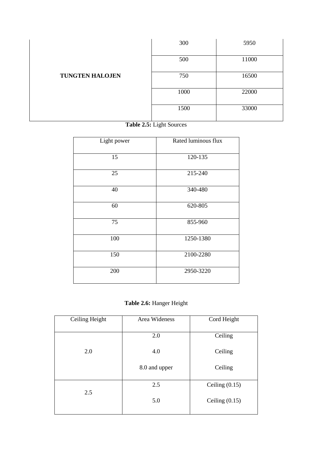|                        | 300  | 5950  |
|------------------------|------|-------|
|                        | 500  | 11000 |
| <b>TUNGTEN HALOJEN</b> | 750  | 16500 |
|                        | 1000 | 22000 |
|                        | 1500 | 33000 |
|                        |      |       |

| <b>Table 2.5:</b> Light Sources |  |
|---------------------------------|--|
|---------------------------------|--|

| Light power | Rated luminous flux |
|-------------|---------------------|
| 15          | 120-135             |
| 25          | 215-240             |
| 40          | 340-480             |
| 60          | 620-805             |
| 75          | 855-960             |
| 100         | 1250-1380           |
| 150         | 2100-2280           |
| 200         | 2950-3220           |

### **Table 2.6:** Hanger Height

| Ceiling Height | Area Wideness | Cord Height      |
|----------------|---------------|------------------|
|                |               |                  |
|                | 2.0           | Ceiling          |
|                |               |                  |
| 2.0            | 4.0           | Ceiling          |
|                |               |                  |
|                | 8.0 and upper | Ceiling          |
|                |               |                  |
|                | 2.5           | Ceiling $(0.15)$ |
| 2.5            |               |                  |
|                | 5.0           | Ceiling $(0.15)$ |
|                |               |                  |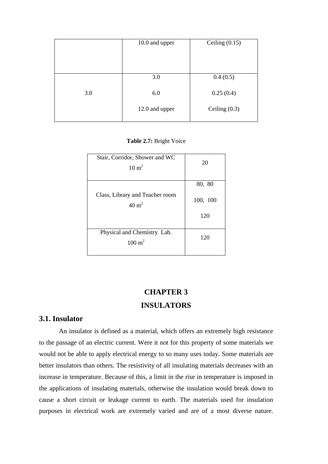|     | 10.0 and upper | Ceiling $(0.15)$ |
|-----|----------------|------------------|
|     |                |                  |
|     |                |                  |
|     |                |                  |
|     | 3.0            | 0.4(0.5)         |
|     |                |                  |
| 3.0 | 6.0            | 0.25(0.4)        |
|     |                |                  |
|     | 12.0 and upper | Ceiling $(0.3)$  |
|     |                |                  |

**Table 2.7:** Bright Voice

| Stair, Corridor, Shower and WC<br>$10 \text{ m}^2$  | 20       |
|-----------------------------------------------------|----------|
|                                                     | 80, 80   |
| Class, Library and Teacher room<br>$40 \text{ m}^2$ | 100, 100 |
|                                                     | 120      |
|                                                     |          |
| Physical and Chemistry Lab.<br>$100 \text{ m}^2$    | 120      |
|                                                     |          |

### **CHAPTER 3 INSULATORS**

#### **3.1. Insulator**

An insulator is defined as a material, which offers an extremely high resistance to the passage of an electric current. Were it not for this property of some materials we would not be able to apply electrical energy to so many uses today. Some materials are better insulators than others. The resistivity of all insulating materials decreases with an increase in temperature. Because of this, a limit in the rise in temperature is imposed in the applications of insulating materials, otherwise the insulation would break down to cause a short circuit or leakage current to earth. The materials used for insulation purposes in electrical work are extremely varied and are of a most diverse nature.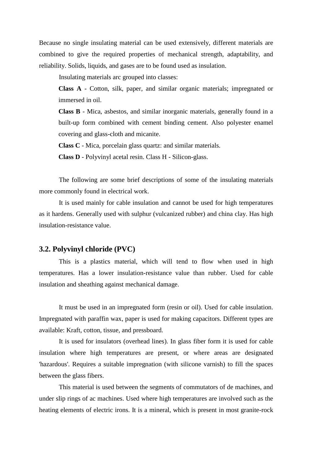Because no single insulating material can be used extensively, different materials are combined to give the required properties of mechanical strength, adaptability, and reliability. Solids, liquids, and gases are to be found used as insulation.

Insulating materials arc grouped into classes:

**Class A** - Cotton, silk, paper, and similar organic materials; impregnated or immersed in oil.

**Class B** - Mica, asbestos, and similar inorganic materials, generally found in a built-up form combined with cement binding cement. Also polyester enamel covering and glass-cloth and micanite.

**Class C** - Mica, porcelain glass quartz: and similar materials.

**Class D** - Polyvinyl acetal resin. Class H - Silicon-glass.

The following are some brief descriptions of some of the insulating materials more commonly found in electrical work.

It is used mainly for cable insulation and cannot be used for high temperatures as it hardens. Generally used with sulphur (vulcanized rubber) and china clay. Has high insulation-resistance value.

#### **3.2. Polyvinyl chloride (PVC)**

This is a plastics material, which will tend to flow when used in high temperatures. Has a lower insulation-resistance value than rubber. Used for cable insulation and sheathing against mechanical damage.

It must be used in an impregnated form (resin or oil). Used for cable insulation. Impregnated with paraffin wax, paper is used for making capacitors. Different types are available: Kraft, cotton, tissue, and pressboard.

It is used for insulators (overhead lines). In glass fiber form it is used for cable insulation where high temperatures are present, or where areas are designated 'hazardous'. Requires a suitable impregnation (with silicone varnish) to fill the spaces between the glass fibers.

This material is used between the segments of commutators of de machines, and under slip rings of ac machines. Used where high temperatures are involved such as the heating elements of electric irons. It is a mineral, which is present in most granite-rock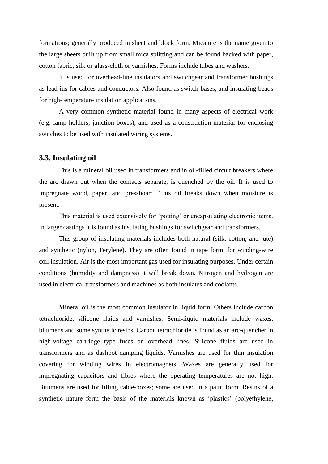formations; generally produced in sheet and block form. Micanite is the name given to the large sheets built up from small mica splitting and can be found backed with paper, cotton fabric, silk or glass-cloth or varnishes. Forms include tubes and washers.

It is used for overhead-line insulators and switchgear and transformer bushings as lead-ins for cables and conductors. Also found as switch-bases, and insulating beads for high-temperature insulation applications.

A very common synthetic material found in many aspects of electrical work (e.g. lamp holders, junction boxes), and used as a construction material for enclosing switches to be used with insulated wiring systems.

#### **3.3. Insulating oil**

This is a mineral oil used in transformers and in oil-filled circuit breakers where the arc drawn out when the contacts separate, is quenched by the oil. It is used to impregnate wood, paper, and pressboard. This oil breaks down when moisture is present.

This material is used extensively for "potting" or encapsulating electronic items. In larger castings it is found as insulating bushings for switchgear and transformers.

This group of insulating materials includes both natural (silk, cotton, and jute) and synthetic (nylon, Terylene). They are often found in tape form, for winding-wire coil insulation. Air is the most important gas used for insulating purposes. Under certain conditions (humidity and dampness) it will break down. Nitrogen and hydrogen are used in electrical transformers and machines as both insulates and coolants.

Mineral oil is the most common insulator in liquid form. Others include carbon tetrachloride, silicone fluids and varnishes. Semi-liquid materials include waxes, bitumens and some synthetic resins. Carbon tetrachloride is found as an arc-quencher in high-voltage cartridge type fuses on overhead lines. Silicone fluids are used in transformers and as dashpot damping liquids. Varnishes are used for thin insulation covering for winding wires in electromagnets. Waxes are generally used for impregnating capacitors and fibres where the operating temperatures are not high. Bitumens are used for filling cable-boxes; some are used in a paint form. Resins of a synthetic nature form the basis of the materials known as 'plastics' (polyethylene,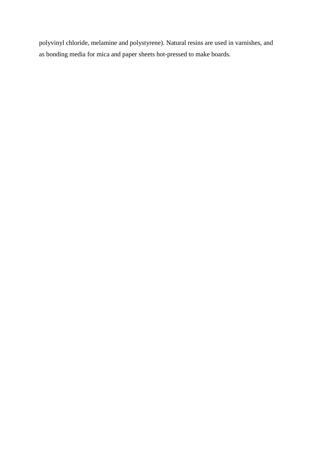polyvinyl chloride, melamine and polystyrene). Natural resins are used in varnishes, and as bonding media for mica and paper sheets hot-pressed to make boards.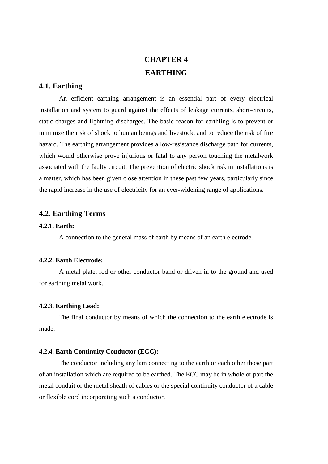## **CHAPTER 4 EARTHING**

#### **4.1. Earthing**

An efficient earthing arrangement is an essential part of every electrical installation and system to guard against the effects of leakage currents, short-circuits, static charges and lightning discharges. The basic reason for earthling is to prevent or minimize the risk of shock to human beings and livestock, and to reduce the risk of fire hazard. The earthing arrangement provides a low-resistance discharge path for currents, which would otherwise prove injurious or fatal to any person touching the metalwork associated with the faulty circuit. The prevention of electric shock risk in installations is a matter, which has been given close attention in these past few years, particularly since the rapid increase in the use of electricity for an ever-widening range of applications.

#### **4.2. Earthing Terms**

#### **4.2.1. Earth:**

A connection to the general mass of earth by means of an earth electrode.

#### **4.2.2. Earth Electrode:**

A metal plate, rod or other conductor band or driven in to the ground and used for earthing metal work.

#### **4.2.3. Earthing Lead:**

The final conductor by means of which the connection to the earth electrode is made.

#### **4.2.4. Earth Continuity Conductor (ECC):**

The conductor including any lam connecting to the earth or each other those part of an installation which are required to be earthed. The ECC may be in whole or part the metal conduit or the metal sheath of cables or the special continuity conductor of a cable or flexible cord incorporating such a conductor.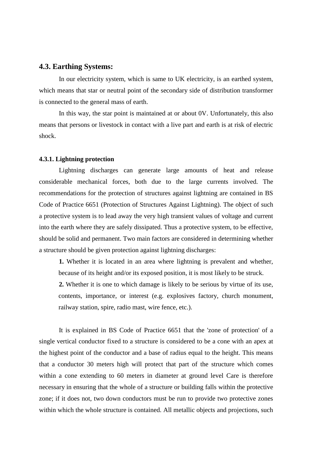#### **4.3. Earthing Systems:**

In our electricity system, which is same to UK electricity, is an earthed system, which means that star or neutral point of the secondary side of distribution transformer is connected to the general mass of earth.

In this way, the star point is maintained at or about 0V. Unfortunately, this also means that persons or livestock in contact with a live part and earth is at risk of electric shock.

#### **4.3.1. Lightning protection**

Lightning discharges can generate large amounts of heat and release considerable mechanical forces, both due to the large currents involved. The recommendations for the protection of structures against lightning are contained in BS Code of Practice 6651 (Protection of Structures Against Lightning). The object of such a protective system is to lead away the very high transient values of voltage and current into the earth where they are safely dissipated. Thus a protective system, to be effective, should be solid and permanent. Two main factors are considered in determining whether a structure should be given protection against lightning discharges:

**1.** Whether it is located in an area where lightning is prevalent and whether, because of its height and/or its exposed position, it is most likely to be struck.

**2.** Whether it is one to which damage is likely to be serious by virtue of its use, contents, importance, or interest (e.g. explosives factory, church monument, railway station, spire, radio mast, wire fence, etc.).

It is explained in BS Code of Practice 6651 that the 'zone of protection' of a single vertical conductor fixed to a structure is considered to be a cone with an apex at the highest point of the conductor and a base of radius equal to the height. This means that a conductor 30 meters high will protect that part of the structure which comes within a cone extending to 60 meters in diameter at ground level Care is therefore necessary in ensuring that the whole of a structure or building falls within the protective zone; if it does not, two down conductors must be run to provide two protective zones within which the whole structure is contained. All metallic objects and projections, such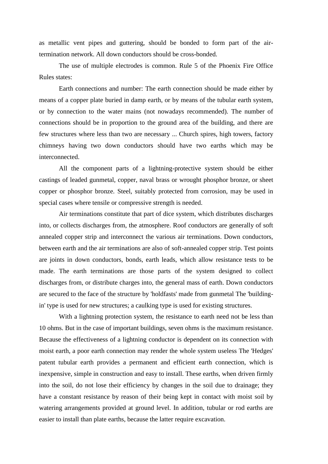as metallic vent pipes and guttering, should be bonded to form part of the airtermination network. All down conductors should be cross-bonded.

The use of multiple electrodes is common. Rule 5 of the Phoenix Fire Office Rules states:

Earth connections and number: The earth connection should be made either by means of a copper plate buried in damp earth, or by means of the tubular earth system, or by connection to the water mains (not nowadays recommended). The number of connections should be in proportion to the ground area of the building, and there are few structures where less than two are necessary ... Church spires, high towers, factory chimneys having two down conductors should have two earths which may be interconnected.

All the component parts of a lightning-protective system should be either castings of leaded gunmetal, copper, naval brass or wrought phosphor bronze, or sheet copper or phosphor bronze. Steel, suitably protected from corrosion, may be used in special cases where tensile or compressive strength is needed.

Air terminations constitute that part of dice system, which distributes discharges into, or collects discharges from, the atmosphere. Roof conductors are generally of soft annealed copper strip and interconnect the various air terminations. Down conductors, between earth and the air terminations are also of soft-annealed copper strip. Test points are joints in down conductors, bonds, earth leads, which allow resistance tests to be made. The earth terminations are those parts of the system designed to collect discharges from, or distribute charges into, the general mass of earth. Down conductors are secured to the face of the structure by 'holdfasts' made from gunmetal The 'buildingin' type is used for new structures; a caulking type is used for existing structures.

With a lightning protection system, the resistance to earth need not be less than 10 ohms. But in the case of important buildings, seven ohms is the maximum resistance. Because the effectiveness of a lightning conductor is dependent on its connection with moist earth, a poor earth connection may render the whole system useless The 'Hedges' patent tubular earth provides a permanent and efficient earth connection, which is inexpensive, simple in construction and easy to install. These earths, when driven firmly into the soil, do not lose their efficiency by changes in the soil due to drainage; they have a constant resistance by reason of their being kept in contact with moist soil by watering arrangements provided at ground level. In addition, tubular or rod earths are easier to install than plate earths, because the latter require excavation.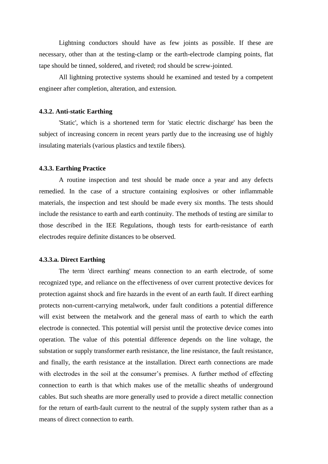Lightning conductors should have as few joints as possible. If these are necessary, other than at the testing-clamp or the earth-electrode clamping points, flat tape should be tinned, soldered, and riveted; rod should be screw-jointed.

All lightning protective systems should he examined and tested by a competent engineer after completion, alteration, and extension.

#### **4.3.2. Anti-static Earthing**

'Static', which is a shortened term for 'static electric discharge' has been the subject of increasing concern in recent years partly due to the increasing use of highly insulating materials (various plastics and textile fibers).

#### **4.3.3. Earthing Practice**

A routine inspection and test should be made once a year and any defects remedied. In the case of a structure containing explosives or other inflammable materials, the inspection and test should be made every six months. The tests should include the resistance to earth and earth continuity. The methods of testing are similar to those described in the IEE Regulations, though tests for earth-resistance of earth electrodes require definite distances to be observed.

#### **4.3.3.a. Direct Earthing**

The term 'direct earthing' means connection to an earth electrode, of some recognized type, and reliance on the effectiveness of over current protective devices for protection against shock and fire hazards in the event of an earth fault. If direct earthing protects non-current-carrying metalwork, under fault conditions a potential difference will exist between the metalwork and the general mass of earth to which the earth electrode is connected. This potential will persist until the protective device comes into operation. The value of this potential difference depends on the line voltage, the substation or supply transformer earth resistance, the line resistance, the fault resistance, and finally, the earth resistance at the installation. Direct earth connections are made with electrodes in the soil at the consumer's premises. A further method of effecting connection to earth is that which makes use of the metallic sheaths of underground cables. But such sheaths are more generally used to provide a direct metallic connection for the return of earth-fault current to the neutral of the supply system rather than as a means of direct connection to earth.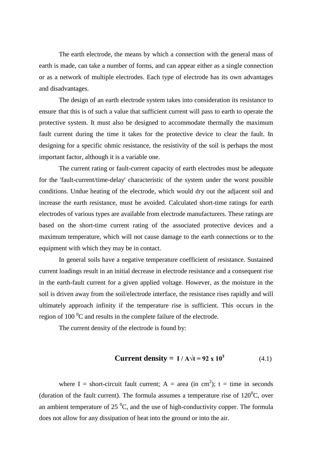The earth electrode, the means by which a connection with the general mass of earth is made, can take a number of forms, and can appear either as a single connection or as a network of multiple electrodes. Each type of electrode has its own advantages and disadvantages.

The design of an earth electrode system takes into consideration its resistance to ensure that this is of such a value that sufficient current will pass to earth to operate the protective system. It must also be designed to accommodate thermally the maximum fault current during the time it takes for the protective device to clear the fault. In designing for a specific ohmic resistance, the resistivity of the soil is perhaps the most important factor, although it is a variable one.

The current rating or fault-current capacity of earth electrodes must be adequate for the 'fault-current/time-delay' characteristic of the system under the worst possible conditions. Undue heating of the electrode, which would dry out the adjacent soil and increase the earth resistance, must be avoided. Calculated short-time ratings for earth electrodes of various types are available from electrode manufacturers. These ratings are based on the short-time current rating of the associated protective devices and a maximum temperature, which will not cause damage to the earth connections or to the equipment with which they may be in contact.

In general soils have a negative temperature coefficient of resistance. Sustained current loadings result in an initial decrease in electrode resistance and a consequent rise in the earth-fault current for a given applied voltage. However, as the moisture in the soil is driven away from the soil/electrode interface, the resistance rises rapidly and will ultimately approach infinity if the temperature rise is sufficient. This occurs in the region of 100 $\mathrm{^{0}C}$  and results in the complete failure of the electrode.

The current density of the electrode is found by:

#### **Current density =**  $I / A\sqrt{t} = 92 \times 10^3$ (4.1)

where I = short-circuit fault current; A = area (in cm<sup>2</sup>); t = time in seconds (duration of the fault current). The formula assumes a temperature rise of  $120^{\circ}$ C, over an ambient temperature of  $25\,^0C$ , and the use of high-conductivity copper. The formula does not allow for any dissipation of heat into the ground or into the air.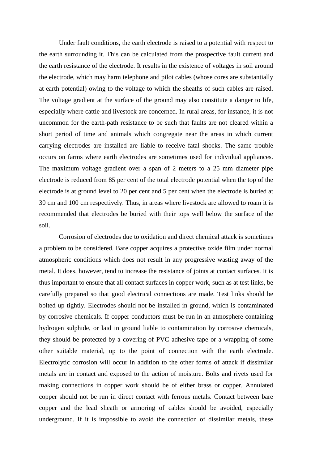Under fault conditions, the earth electrode is raised to a potential with respect to the earth surrounding it. This can be calculated from the prospective fault current and the earth resistance of the electrode. It results in the existence of voltages in soil around the electrode, which may harm telephone and pilot cables (whose cores are substantially at earth potential) owing to the voltage to which the sheaths of such cables are raised. The voltage gradient at the surface of the ground may also constitute a danger to life, especially where cattle and livestock are concerned. In rural areas, for instance, it is not uncommon for the earth-path resistance to be such that faults are not cleared within a short period of time and animals which congregate near the areas in which current carrying electrodes are installed are liable to receive fatal shocks. The same trouble occurs on farms where earth electrodes are sometimes used for individual appliances. The maximum voltage gradient over a span of 2 meters to a 25 mm diameter pipe electrode is reduced from 85 per cent of the total electrode potential when the top of the electrode is at ground level to 20 per cent and 5 per cent when the electrode is buried at 30 cm and 100 cm respectively. Thus, in areas where livestock are allowed to roam it is recommended that electrodes be buried with their tops well below the surface of the soil.

Corrosion of electrodes due to oxidation and direct chemical attack is sometimes a problem to be considered. Bare copper acquires a protective oxide film under normal atmospheric conditions which does not result in any progressive wasting away of the metal. It does, however, tend to increase the resistance of joints at contact surfaces. It is thus important to ensure that all contact surfaces in copper work, such as at test links, be carefully prepared so that good electrical connections are made. Test links should be bolted up tightly. Electrodes should not be installed in ground, which is contaminated by corrosive chemicals. If copper conductors must be run in an atmosphere containing hydrogen sulphide, or laid in ground liable to contamination by corrosive chemicals, they should be protected by a covering of PVC adhesive tape or a wrapping of some other suitable material, up to the point of connection with the earth electrode. Electrolytic corrosion will occur in addition to the other forms of attack if dissimilar metals are in contact and exposed to the action of moisture. Bolts and rivets used for making connections in copper work should be of either brass or copper. Annulated copper should not be run in direct contact with ferrous metals. Contact between bare copper and the lead sheath or armoring of cables should be avoided, especially underground. If it is impossible to avoid the connection of dissimilar metals, these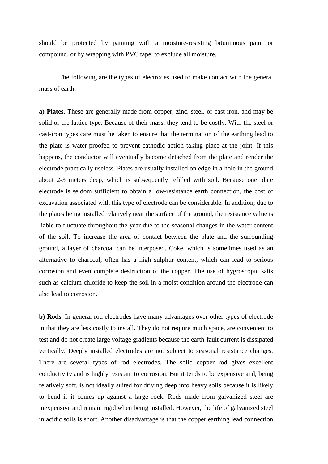should be protected by painting with a moisture-resisting bituminous paint or compound, or by wrapping with PVC tape, to exclude all moisture.

The following are the types of electrodes used to make contact with the general mass of earth:

**a) Plates**. These are generally made from copper, zinc, steel, or cast iron, and may be solid or the lattice type. Because of their mass, they tend to be costly. With the steel or cast-iron types care must he taken to ensure that the termination of the earthing lead to the plate is water-proofed to prevent cathodic action taking place at the joint, If this happens, the conductor will eventually become detached from the plate and render the electrode practically useless. Plates are usually installed on edge in a hole in the ground about 2-3 meters deep, which is subsequently refilled with soil. Because one plate electrode is seldom sufficient to obtain a low-resistance earth connection, the cost of excavation associated with this type of electrode can be considerable. In addition, due to the plates being installed relatively near the surface of the ground, the resistance value is liable to fluctuate throughout the year due to the seasonal changes in the water content of the soil. To increase the area of contact between the plate and the surrounding ground, a layer of charcoal can be interposed. Coke, which is sometimes used as an alternative to charcoal, often has a high sulphur content, which can lead to serious corrosion and even complete destruction of the copper. The use of hygroscopic salts such as calcium chloride to keep the soil in a moist condition around the electrode can also lead to corrosion.

**b) Rods**. In general rod electrodes have many advantages over other types of electrode in that they are less costly to install. They do not require much space, are convenient to test and do not create large voltage gradients because the earth-fault current is dissipated vertically. Deeply installed electrodes are not subject to seasonal resistance changes. There are several types of rod electrodes. The solid copper rod gives excellent conductivity and is highly resistant to corrosion. But it tends to be expensive and, being relatively soft, is not ideally suited for driving deep into heavy soils because it is likely to bend if it comes up against a large rock. Rods made from galvanized steel are inexpensive and remain rigid when being installed. However, the life of galvanized steel in acidic soils is short. Another disadvantage is that the copper earthing lead connection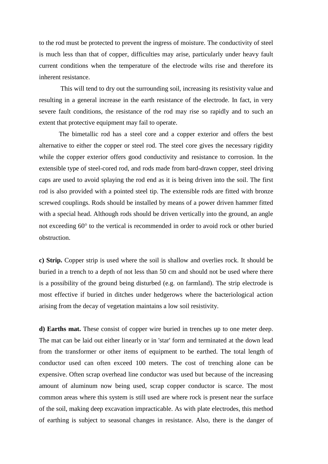to the rod must be protected to prevent the ingress of moisture. The conductivity of steel is much less than that of copper, difficulties may arise, particularly under heavy fault current conditions when the temperature of the electrode wilts rise and therefore its inherent resistance.

This will tend to dry out the surrounding soil, increasing its resistivity value and resulting in a general increase in the earth resistance of the electrode. In fact, in very severe fault conditions, the resistance of the rod may rise so rapidly and to such an extent that protective equipment may fail to operate.

The bimetallic rod has a steel core and a copper exterior and offers the best alternative to either the copper or steel rod. The steel core gives the necessary rigidity while the copper exterior offers good conductivity and resistance to corrosion. In the extensible type of steel-cored rod, and rods made from bard-drawn copper, steel driving caps are used to avoid splaying the rod end as it is being driven into the soil. The first rod is also provided with a pointed steel tip. The extensible rods are fitted with bronze screwed couplings. Rods should be installed by means of a power driven hammer fitted with a special head. Although rods should be driven vertically into the ground, an angle not exceeding  $60^{\circ}$  to the vertical is recommended in order to avoid rock or other buried obstruction.

**c) Strip.** Copper strip is used where the soil is shallow and overlies rock. It should be buried in a trench to a depth of not less than 50 cm and should not be used where there is a possibility of the ground being disturbed (e.g. on farmland). The strip electrode is most effective if buried in ditches under hedgerows where the bacteriological action arising from the decay of vegetation maintains a low soil resistivity.

**d) Earths mat.** These consist of copper wire buried in trenches up to one meter deep. The mat can be laid out either linearly or in 'star' form and terminated at the down lead from the transformer or other items of equipment to be earthed. The total length of conductor used can often exceed 100 meters. The cost of trenching alone can be expensive. Often scrap overhead line conductor was used but because of the increasing amount of aluminum now being used, scrap copper conductor is scarce. The most common areas where this system is still used are where rock is present near the surface of the soil, making deep excavation impracticable. As with plate electrodes, this method of earthing is subject to seasonal changes in resistance. Also, there is the danger of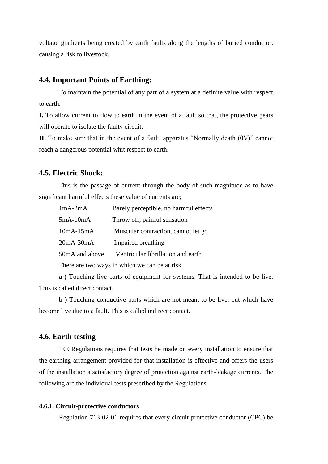voltage gradients being created by earth faults along the lengths of buried conductor, causing a risk to livestock.

# **4.4. Important Points of Earthing:**

To maintain the potential of any part of a system at a definite value with respect to earth.

**I.** To allow current to flow to earth in the event of a fault so that, the protective gears will operate to isolate the faulty circuit.

**II.** To make sure that in the event of a fault, apparatus "Normally death (0V)" cannot reach a dangerous potential whit respect to earth.

# **4.5. Electric Shock:**

This is the passage of current through the body of such magnitude as to have significant harmful effects these value of currents are;

| $1mA-2mA$                                      | Barely perceptible, no harmful effects |  |
|------------------------------------------------|----------------------------------------|--|
| $5mA-10mA$                                     | Throw off, painful sensation           |  |
| $10mA-15mA$                                    | Muscular contraction, cannot let go    |  |
| $20mA-30mA$                                    | Impaired breathing                     |  |
| 50mA and above                                 | Ventricular fibrillation and earth.    |  |
| There are two ways in which we can be at risk. |                                        |  |

**a-)** Touching live parts of equipment for systems. That is intended to be live. This is called direct contact.

**b-)** Touching conductive parts which are not meant to be live, but which have become live due to a fault. This is called indirect contact.

# **4.6. Earth testing**

IEE Regulations requires that tests he made on every installation to ensure that the earthing arrangement provided for that installation is effective and offers the users of the installation a satisfactory degree of protection against earth-leakage currents. The following are the individual tests prescribed by the Regulations.

### **4.6.1. Circuit-protective conductors**

Regulation 713-02-01 requires that every circuit-protective conductor (CPC) be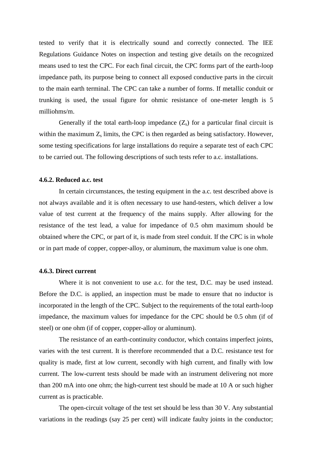tested to verify that it is electrically sound and correctly connected. The IEE Regulations Guidance Notes on inspection and testing give details on the recognized means used to test the CPC. For each final circuit, the CPC forms part of the earth-loop impedance path, its purpose being to connect all exposed conductive parts in the circuit to the main earth terminal. The CPC can take a number of forms. If metallic conduit or trunking is used, the usual figure for ohmic resistance of one-meter length is 5 milliohms/m.

Generally if the total earth-loop impedance  $(Z_s)$  for a particular final circuit is within the maximum  $Z_s$  limits, the CPC is then regarded as being satisfactory. However, some testing specifications for large installations do require a separate test of each CPC to be carried out. The following descriptions of such tests refer to a.c. installations.

## **4.6.2. Reduced a.c. test**

In certain circumstances, the testing equipment in the a.c. test described above is not always available and it is often necessary to use hand-testers, which deliver a low value of test current at the frequency of the mains supply. After allowing for the resistance of the test lead, a value for impedance of 0.5 ohm maximum should be obtained where the CPC, or part of it, is made from steel conduit. If the CPC is in whole or in part made of copper, copper-alloy, or aluminum, the maximum value is one ohm.

#### **4.6.3. Direct current**

Where it is not convenient to use a.c. for the test, D.C. may be used instead. Before the D.C. is applied, an inspection must be made to ensure that no inductor is incorporated in the length of the CPC. Subject to the requirements of the total earth-loop impedance, the maximum values for impedance for the CPC should be 0.5 ohm (if of steel) or one ohm (if of copper, copper-alloy or aluminum).

The resistance of an earth-continuity conductor, which contains imperfect joints, varies with the test current. It is therefore recommended that a D.C. resistance test for quality is made, first at low current, secondly with high current, and finally with low current. The low-current tests should be made with an instrument delivering not more than 200 mA into one ohm; the high-current test should be made at 10 A or such higher current as is practicable.

The open-circuit voltage of the test set should be less than 30 V. Any substantial variations in the readings (say 25 per cent) will indicate faulty joints in the conductor;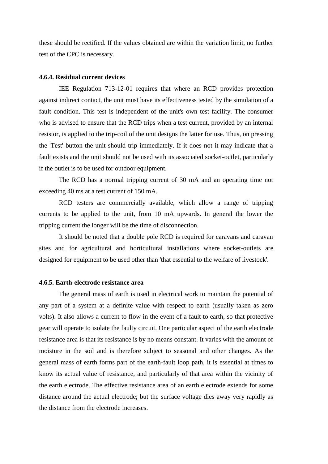these should be rectified. If the values obtained are within the variation limit, no further test of the CPC is necessary.

#### **4.6.4. Residual current devices**

IEE Regulation 713-12-01 requires that where an RCD provides protection against indirect contact, the unit must have its effectiveness tested by the simulation of a fault condition. This test is independent of the unit's own test facility. The consumer who is advised to ensure that the RCD trips when a test current, provided by an internal resistor, is applied to the trip-coil of the unit designs the latter for use. Thus, on pressing the 'Test' button the unit should trip immediately. If it does not it may indicate that a fault exists and the unit should not be used with its associated socket-outlet, particularly if the outlet is to be used for outdoor equipment.

The RCD has a normal tripping current of 30 mA and an operating time not exceeding 40 ms at a test current of 150 mA.

RCD testers are commercially available, which allow a range of tripping currents to be applied to the unit, from 10 mA upwards. In general the lower the tripping current the longer will be the time of disconnection.

It should be noted that a double pole RCD is required for caravans and caravan sites and for agricultural and horticultural installations where socket-outlets are designed for equipment to be used other than 'that essential to the welfare of livestock'.

#### **4.6.5. Earth-electrode resistance area**

The general mass of earth is used in electrical work to maintain the potential of any part of a system at a definite value with respect to earth (usually taken as zero volts). It also allows a current to flow in the event of a fault to earth, so that protective gear will operate to isolate the faulty circuit. One particular aspect of the earth electrode resistance area is that its resistance is by no means constant. It varies with the amount of moisture in the soil and is therefore subject to seasonal and other changes. As the general mass of earth forms part of the earth-fault loop path, it is essential at times to know its actual value of resistance, and particularly of that area within the vicinity of the earth electrode. The effective resistance area of an earth electrode extends for some distance around the actual electrode; but the surface voltage dies away very rapidly as the distance from the electrode increases.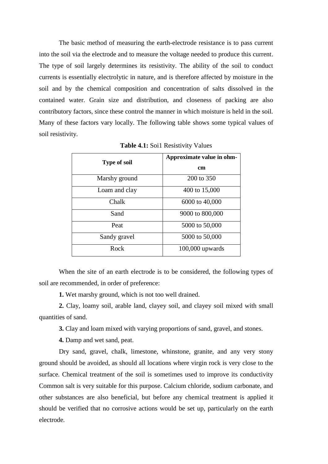The basic method of measuring the earth-electrode resistance is to pass current into the soil via the electrode and to measure the voltage needed to produce this current. The type of soil largely determines its resistivity. The ability of the soil to conduct currents is essentially electrolytic in nature, and is therefore affected by moisture in the soil and by the chemical composition and concentration of salts dissolved in the contained water. Grain size and distribution, and closeness of packing are also contributory factors, since these control the manner in which moisture is held in the soil. Many of these factors vary locally. The following table shows some typical values of soil resistivity.

| <b>Type of soil</b> | Approximate value in ohm-<br>cm |
|---------------------|---------------------------------|
| Marshy ground       | 200 to 350                      |
| Loam and clay       | 400 to 15,000                   |
| Chalk               | 6000 to 40,000                  |
| Sand                | 9000 to 800,000                 |
| Peat                | 5000 to 50,000                  |
| Sandy gravel        | 5000 to 50,000                  |
| Rock                | 100,000 upwards                 |

**Table 4.1:** Soi1 Resistivity Values

When the site of an earth electrode is to be considered, the following types of soil are recommended, in order of preference:

**1.** Wet marshy ground, which is not too well drained.

**2.** Clay, loamy soil, arable land, clayey soil, and clayey soil mixed with small quantities of sand.

**3.** Clay and loam mixed with varying proportions of sand, gravel, and stones.

**4.** Damp and wet sand, peat.

Dry sand, gravel, chalk, limestone, whinstone, granite, and any very stony ground should be avoided, as should all locations where virgin rock is very close to the surface. Chemical treatment of the soil is sometimes used to improve its conductivity Common salt is very suitable for this purpose. Calcium chloride, sodium carbonate, and other substances are also beneficial, but before any chemical treatment is applied it should be verified that no corrosive actions would be set up, particularly on the earth electrode.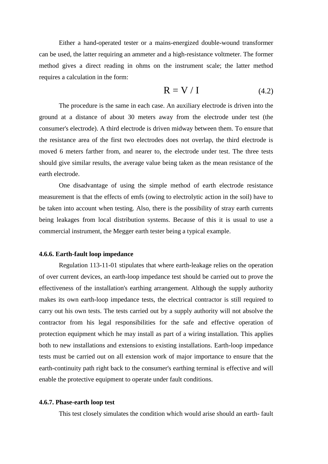Either a hand-operated tester or a mains-energized double-wound transformer can be used, the latter requiring an ammeter and a high-resistance voltmeter. The former method gives a direct reading in ohms on the instrument scale; the latter method requires a calculation in the form:

$$
R = V / I \tag{4.2}
$$

The procedure is the same in each case. An auxiliary electrode is driven into the ground at a distance of about 30 meters away from the electrode under test (the consumer's electrode). A third electrode is driven midway between them. To ensure that the resistance area of the first two electrodes does not overlap, the third electrode is moved 6 meters farther from, and nearer to, the electrode under test. The three tests should give similar results, the average value being taken as the mean resistance of the earth electrode.

One disadvantage of using the simple method of earth electrode resistance measurement is that the effects of emfs (owing to electrolytic action in the soil) have to be taken into account when testing. Also, there is the possibility of stray earth currents being leakages from local distribution systems. Because of this it is usual to use a commercial instrument, the Megger earth tester being a typical example.

#### **4.6.6. Earth-fault loop impedance**

Regulation 113-11-01 stipulates that where earth-leakage relies on the operation of over current devices, an earth-loop impedance test should be carried out to prove the effectiveness of the installation's earthing arrangement. Although the supply authority makes its own earth-loop impedance tests, the electrical contractor is still required to carry out his own tests. The tests carried out by a supply authority will not absolve the contractor from his legal responsibilities for the safe and effective operation of protection equipment which he may install as part of a wiring installation. This applies both to new installations and extensions to existing installations. Earth-loop impedance tests must be carried out on all extension work of major importance to ensure that the earth-continuity path right back to the consumer's earthing terminal is effective and will enable the protective equipment to operate under fault conditions.

#### **4.6.7. Phase-earth loop test**

This test closely simulates the condition which would arise should an earth- fault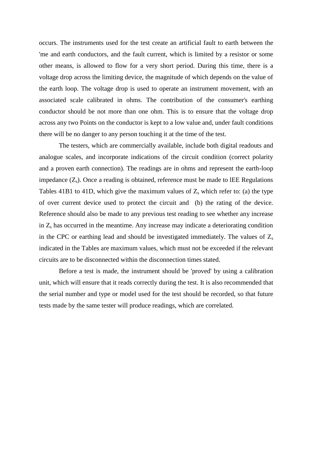occurs. The instruments used for the test create an artificial fault to earth between the 'me and earth conductors, and the fault current, which is limited by a resistor or some other means, is allowed to flow for a very short period. During this time, there is a voltage drop across the limiting device, the magnitude of which depends on the value of the earth loop. The voltage drop is used to operate an instrument movement, with an associated scale calibrated in ohms. The contribution of the consumer's earthing conductor should be not more than one ohm. This is to ensure that the voltage drop across any two Points on the conductor is kept to a low value and, under fault conditions there will be no danger to any person touching it at the time of the test.

The testers, which are commercially available, include both digital readouts and analogue scales, and incorporate indications of the circuit condition (correct polarity and a proven earth connection). The readings are in ohms and represent the earth-loop impedance  $(Z_s)$ . Once a reading is obtained, reference must be made to IEE Regulations Tables 41B1 to 41D, which give the maximum values of  $Z_s$  which refer to: (a) the type of over current device used to protect the circuit and (b) the rating of the device. Reference should also be made to any previous test reading to see whether any increase in  $Z_s$  has occurred in the meantime. Any increase may indicate a deteriorating condition in the CPC or earthing lead and should be investigated immediately. The values of  $Z_s$ indicated in the Tables are maximum values, which must not be exceeded if the relevant circuits are to be disconnected within the disconnection times stated.

Before a test is made, the instrument should be 'proved' by using a calibration unit, which will ensure that it reads correctly during the test. It is also recommended that the serial number and type or model used for the test should be recorded, so that future tests made by the same tester will produce readings, which are correlated.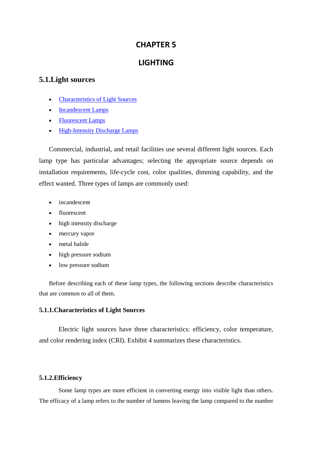# **CHAPTER 5**

# **LIGHTING**

# **5.1.Light sources**

- [Characteristics](http://www-is.informatik.uni-oldenburg.de/~dibo/teaching/mm/pages/light-fundamentals.html#Characteristics of Light Sources) of Light Sources
- [Incandescent](http://www-is.informatik.uni-oldenburg.de/~dibo/teaching/mm/pages/light-fundamentals.html#Incandescent Lamps) Lamps
- [Fluorescent](http://www-is.informatik.uni-oldenburg.de/~dibo/teaching/mm/pages/light-fundamentals.html#Fluorescent Lamps) Lamps
- [High-Intensity](http://www-is.informatik.uni-oldenburg.de/~dibo/teaching/mm/pages/light-fundamentals.html#High-Intensity Discharge Lamps) Discharge Lamps

Commercial, industrial, and retail facilities use several different light sources. Each lamp type has particular advantages; selecting the appropriate source depends on installation requirements, life-cycle cost, color qualities, dimming capability, and the effect wanted. Three types of lamps are commonly used:

- incandescent
- fluorescent
- high intensity discharge
- mercury vapor
- metal halide
- high pressure sodium
- low pressure sodium

Before describing each of these lamp types, the following sections describe characteristics that are common to all of them.

# **5.1.1.Characteristics of Light Sources**

Electric light sources have three characteristics: efficiency, color temperature, and color rendering index (CRI). Exhibit 4 summarizes these characteristics.

# **5.1.2.Efficiency**

Some lamp types are more efficient in converting energy into visible light than others. The efficacy of a lamp refers to the number of lumens leaving the lamp compared to the number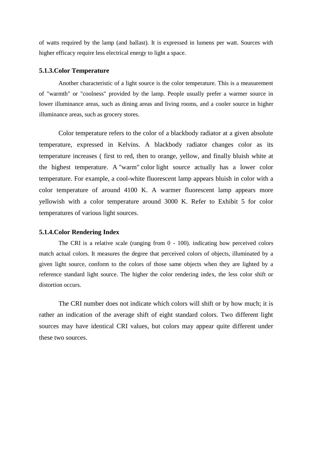of watts required by the lamp (and ballast). It is expressed in lumens per watt. Sources with higher efficacy require less electrical energy to light a space.

#### **5.1.3.Color Temperature**

Another characteristic of a light source is the color temperature. This is a measurement of "warmth" or "coolness" provided by the lamp. People usually prefer a warmer source in lower illuminance areas, such as dining areas and living rooms, and a cooler source in higher illuminance areas, such as grocery stores.

Color temperature refers to the color of a blackbody radiator at a given absolute temperature, expressed in Kelvins. A blackbody radiator changes color as its temperature increases ( first to red, then to orange, yellow, and finally bluish white at the highest temperature. A "warm" color light source actually has a lower color temperature. For example, a cool-white fluorescent lamp appears bluish in color with a color temperature of around 4100 K. A warmer fluorescent lamp appears more yellowish with a color temperature around 3000 K. Refer to Exhibit 5 for color temperatures of various light sources.

#### **5.1.4.Color Rendering Index**

The CRI is a relative scale (ranging from 0 - 100). indicating how perceived colors match actual colors. It measures the degree that perceived colors of objects, illuminated by a given light source, conform to the colors of those same objects when they are lighted by a reference standard light source. The higher the color rendering index, the less color shift or distortion occurs.

The CRI number does not indicate which colors will shift or by how much; it is rather an indication of the average shift of eight standard colors. Two different light sources may have identical CRI values, but colors may appear quite different under these two sources.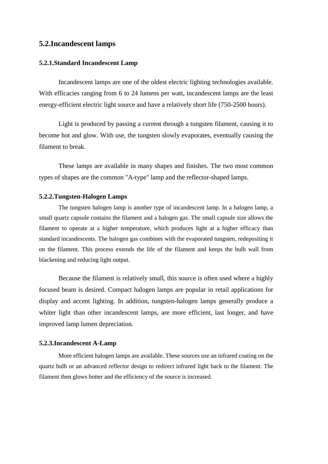# **5.2.Incandescent lamps**

### **5.2.1.Standard Incandescent Lamp**

Incandescent lamps are one of the oldest electric lighting technologies available. With efficacies ranging from 6 to 24 lumens per watt, incandescent lamps are the least energy-efficient electric light source and have a relatively short life (750-2500 hours).

Light is produced by passing a current through a tungsten filament, causing it to become hot and glow. With use, the tungsten slowly evaporates, eventually causing the filament to break.

These lamps are available in many shapes and finishes. The two most common types of shapes are the common "A-type" lamp and the reflector-shaped lamps.

#### **5.2.2.Tungsten-Halogen Lamps**

The tungsten halogen lamp is another type of incandescent lamp. In a halogen lamp, a small quartz capsule contains the filament and a halogen gas. The small capsule size allows the filament to operate at a higher temperature, which produces light at a higher efficacy than standard incandescents. The halogen gas combines with the evaporated tungsten, redepositing it on the filament. This process extends the life of the filament and keeps the bulb wall from blackening and reducing light output.

Because the filament is relatively small, this source is often used where a highly focused beam is desired. Compact halogen lamps are popular in retail applications for display and accent lighting. In addition, tungsten-halogen lamps generally produce a whiter light than other incandescent lamps, are more efficient, last longer, and have improved lamp lumen depreciation.

#### **5.2.3.Incandescent A-Lamp**

More efficient halogen lamps are available. These sources use an infrared coating on the quartz bulb or an advanced reflector design to redirect infrared light back to the filament. The filament then glows hotter and the efficiency of the source is increased.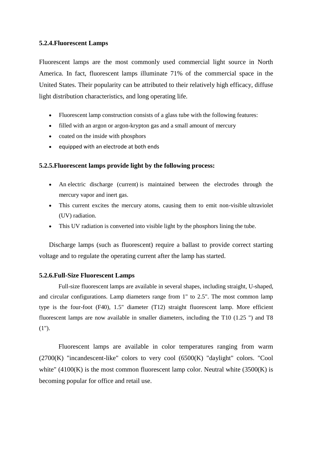#### **5.2.4.Fluorescent Lamps**

Fluorescent lamps are the most commonly used commercial light source in North America. In fact, fluorescent lamps illuminate 71% of the commercial space in the United States. Their popularity can be attributed to their relatively high efficacy, diffuse light distribution characteristics, and long operating life.

- Fluorescent lamp construction consists of a glass tube with the following features:
- filled with an argon or argon-krypton gas and a small amount of mercury
- coated on the inside with phosphors
- equipped with an electrode at both ends

#### **5.2.5.Fluorescent lamps provide light by the following process:**

- An electric discharge (current) is maintained between the electrodes through the mercury vapor and inert gas.
- This current excites the mercury atoms, causing them to emit non-visible ultraviolet (UV) radiation.
- This UV radiation is converted into visible light by the phosphors lining the tube.

Discharge lamps (such as fluorescent) require a ballast to provide correct starting voltage and to regulate the operating current after the lamp has started.

#### **5.2.6.Full-Size Fluorescent Lamps**

Full-size fluorescent lamps are available in several shapes, including straight, U-shaped, and circular configurations. Lamp diameters range from 1" to 2.5". The most common lamp type is the four-foot (F40), 1.5" diameter (T12) straight fluorescent lamp. More efficient fluorescent lamps are now available in smaller diameters, including the T10 (1.25 ") and T8 (1").

Fluorescent lamps are available in color temperatures ranging from warm (2700(K) "incandescent-like" colors to very cool (6500(K) "daylight" colors. "Cool white"  $(4100(K)$  is the most common fluorescent lamp color. Neutral white  $(3500(K)$  is becoming popular for office and retail use.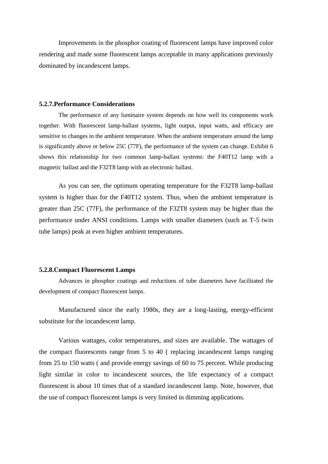Improvements in the phosphor coating of fluorescent lamps have improved color rendering and made some fluorescent lamps acceptable in many applications previously dominated by incandescent lamps.

#### **5.2.7.Performance Considerations**

The performance of any luminaire system depends on how well its components work together. With fluorescent lamp-ballast systems, light output, input watts, and efficacy are sensitive to changes in the ambient temperature. When the ambient temperature around the lamp is significantly above or below 25C (77F), the performance of the system can change. Exhibit 6 shows this relationship for two common lamp-ballast systems: the F40T12 lamp with a magnetic ballast and the F32T8 lamp with an electronic ballast.

As you can see, the optimum operating temperature for the F32T8 lamp-ballast system is higher than for the F40T12 system. Thus, when the ambient temperature is greater than 25C (77F), the performance of the F32T8 system may be higher than the performance under ANSI conditions. Lamps with smaller diameters (such as T-5 twin tube lamps) peak at even higher ambient temperatures.

#### **5.2.8.Compact Fluorescent Lamps**

Advances in phosphor coatings and reductions of tube diameters have facilitated the development of compact fluorescent lamps.

Manufactured since the early 1980s, they are a long-lasting, energy-efficient substitute for the incandescent lamp.

Various wattages, color temperatures, and sizes are available. The wattages of the compact fluorescents range from 5 to 40 ( replacing incandescent lamps ranging from 25 to 150 watts ( and provide energy savings of 60 to 75 percent. While producing light similar in color to incandescent sources, the life expectancy of a compact fluorescent is about 10 times that of a standard incandescent lamp. Note, however, that the use of compact fluorescent lamps is very limited in dimming applications.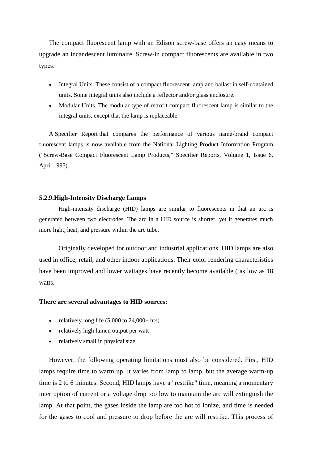The compact fluorescent lamp with an Edison screw-base offers an easy means to upgrade an incandescent luminaire. Screw-in compact fluorescents are available in two types:

- Integral Units. These consist of a compact fluorescent lamp and ballast in self-contained units. Some integral units also include a reflector and/or glass enclosure.
- Modular Units. The modular type of retrofit compact fluorescent lamp is similar to the integral units, except that the lamp is replaceable.

A Specifier Report that compares the performance of various name-brand compact fluorescent lamps is now available from the National Lighting Product Information Program ("Screw-Base Compact Fluorescent Lamp Products," Specifier Reports, Volume 1, Issue 6, April 1993).

### **5.2.9.High-Intensity Discharge Lamps**

High-intensity discharge (HID) lamps are similar to fluorescents in that an arc is generated between two electrodes. The arc in a HID source is shorter, yet it generates much more light, heat, and pressure within the arc tube.

Originally developed for outdoor and industrial applications, HID lamps are also used in office, retail, and other indoor applications. Their color rendering characteristics have been improved and lower wattages have recently become available ( as low as 18 watts.

#### **There are several advantages to HID sources:**

- relatively long life  $(5,000 \text{ to } 24,000 + \text{hrs})$
- relatively high lumen output per watt
- relatively small in physical size

However, the following operating limitations must also be considered. First, HID lamps require time to warm up. It varies from lamp to lamp, but the average warm-up time is 2 to 6 minutes. Second, HID lamps have a "restrike" time, meaning a momentary interruption of current or a voltage drop too low to maintain the arc will extinguish the lamp. At that point, the gases inside the lamp are too hot to ionize, and time is needed for the gases to cool and pressure to drop before the arc will restrike. This process of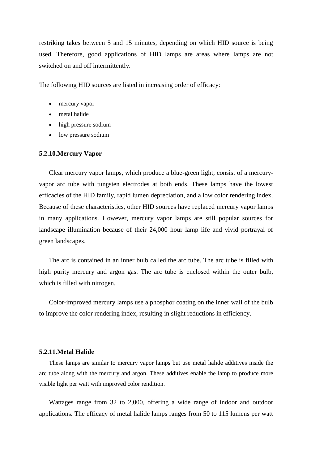restriking takes between 5 and 15 minutes, depending on which HID source is being used. Therefore, good applications of HID lamps are areas where lamps are not switched on and off intermittently.

The following HID sources are listed in increasing order of efficacy:

- mercury vapor
- metal halide
- high pressure sodium
- low pressure sodium

#### **5.2.10.Mercury Vapor**

Clear mercury vapor lamps, which produce a blue-green light, consist of a mercuryvapor arc tube with tungsten electrodes at both ends. These lamps have the lowest efficacies of the HID family, rapid lumen depreciation, and a low color rendering index. Because of these characteristics, other HID sources have replaced mercury vapor lamps in many applications. However, mercury vapor lamps are still popular sources for landscape illumination because of their 24,000 hour lamp life and vivid portrayal of green landscapes.

The arc is contained in an inner bulb called the arc tube. The arc tube is filled with high purity mercury and argon gas. The arc tube is enclosed within the outer bulb, which is filled with nitrogen.

Color-improved mercury lamps use a phosphor coating on the inner wall of the bulb to improve the color rendering index, resulting in slight reductions in efficiency.

#### **5.2.11.Metal Halide**

These lamps are similar to mercury vapor lamps but use metal halide additives inside the arc tube along with the mercury and argon. These additives enable the lamp to produce more visible light per watt with improved color rendition.

Wattages range from 32 to 2,000, offering a wide range of indoor and outdoor applications. The efficacy of metal halide lamps ranges from 50 to 115 lumens per watt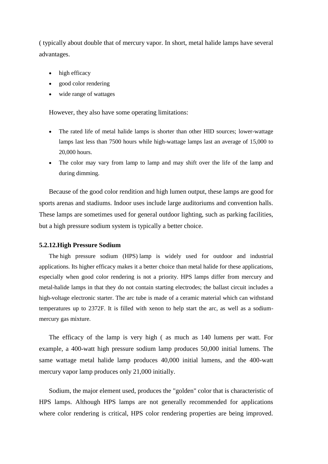( typically about double that of mercury vapor. In short, metal halide lamps have several advantages.

- high efficacy
- good color rendering
- wide range of wattages

However, they also have some operating limitations:

- The rated life of metal halide lamps is shorter than other HID sources; lower-wattage lamps last less than 7500 hours while high-wattage lamps last an average of 15,000 to 20,000 hours.
- The color may vary from lamp to lamp and may shift over the life of the lamp and during dimming.

Because of the good color rendition and high lumen output, these lamps are good for sports arenas and stadiums. Indoor uses include large auditoriums and convention halls. These lamps are sometimes used for general outdoor lighting, such as parking facilities, but a high pressure sodium system is typically a better choice.

#### **5.2.12.High Pressure Sodium**

The high pressure sodium (HPS) lamp is widely used for outdoor and industrial applications. Its higher efficacy makes it a better choice than metal halide for these applications, especially when good color rendering is not a priority. HPS lamps differ from mercury and metal-halide lamps in that they do not contain starting electrodes; the ballast circuit includes a high-voltage electronic starter. The arc tube is made of a ceramic material which can withstand temperatures up to 2372F. It is filled with xenon to help start the arc, as well as a sodiummercury gas mixture.

The efficacy of the lamp is very high ( as much as 140 lumens per watt. For example, a 400-watt high pressure sodium lamp produces 50,000 initial lumens. The same wattage metal halide lamp produces 40,000 initial lumens, and the 400-watt mercury vapor lamp produces only 21,000 initially.

Sodium, the major element used, produces the "golden" color that is characteristic of HPS lamps. Although HPS lamps are not generally recommended for applications where color rendering is critical, HPS color rendering properties are being improved.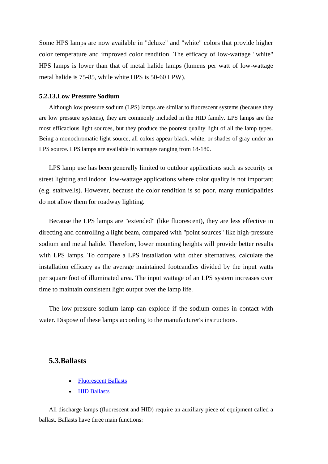Some HPS lamps are now available in "deluxe" and "white" colors that provide higher color temperature and improved color rendition. The efficacy of low-wattage "white" HPS lamps is lower than that of metal halide lamps (lumens per watt of low-wattage metal halide is 75-85, while white HPS is 50-60 LPW).

#### **5.2.13.Low Pressure Sodium**

Although low pressure sodium (LPS) lamps are similar to fluorescent systems (because they are low pressure systems), they are commonly included in the HID family. LPS lamps are the most efficacious light sources, but they produce the poorest quality light of all the lamp types. Being a monochromatic light source, all colors appear black, white, or shades of gray under an LPS source. LPS lamps are available in wattages ranging from 18-180.

LPS lamp use has been generally limited to outdoor applications such as security or street lighting and indoor, low-wattage applications where color quality is not important (e.g. stairwells). However, because the color rendition is so poor, many municipalities do not allow them for roadway lighting.

Because the LPS lamps are "extended" (like fluorescent), they are less effective in directing and controlling a light beam, compared with "point sources" like high-pressure sodium and metal halide. Therefore, lower mounting heights will provide better results with LPS lamps. To compare a LPS installation with other alternatives, calculate the installation efficacy as the average maintained footcandles divided by the input watts per square foot of illuminated area. The input wattage of an LPS system increases over time to maintain consistent light output over the lamp life.

The low-pressure sodium lamp can explode if the sodium comes in contact with water. Dispose of these lamps according to the manufacturer's instructions.

# **5.3.Ballasts**

- [Fluorescent](http://www-is.informatik.uni-oldenburg.de/~dibo/teaching/mm/pages/light-fundamentals.html#Fluorescent Ballasts) Ballasts
- HID [Ballasts](http://www-is.informatik.uni-oldenburg.de/~dibo/teaching/mm/pages/light-fundamentals.html#HID Ballasts)

All discharge lamps (fluorescent and HID) require an auxiliary piece of equipment called a ballast. Ballasts have three main functions: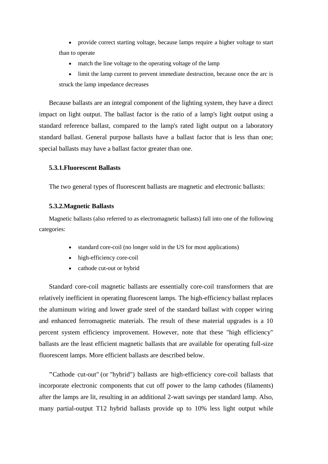provide correct starting voltage, because lamps require a higher voltage to start than to operate

match the line voltage to the operating voltage of the lamp

 limit the lamp current to prevent immediate destruction, because once the arc is struck the lamp impedance decreases

Because ballasts are an integral component of the lighting system, they have a direct impact on light output. The ballast factor is the ratio of a lamp's light output using a standard reference ballast, compared to the lamp's rated light output on a laboratory standard ballast. General purpose ballasts have a ballast factor that is less than one; special ballasts may have a ballast factor greater than one.

# **5.3.1.Fluorescent Ballasts**

The two general types of fluorescent ballasts are magnetic and electronic ballasts:

#### **5.3.2.Magnetic Ballasts**

Magnetic ballasts (also referred to as electromagnetic ballasts) fall into one of the following categories:

- standard core-coil (no longer sold in the US for most applications)
- high-efficiency core-coil
- cathode cut-out or hybrid

Standard core-coil magnetic ballasts are essentially core-coil transformers that are relatively inefficient in operating fluorescent lamps. The high-efficiency ballast replaces the aluminum wiring and lower grade steel of the standard ballast with copper wiring and enhanced ferromagnetic materials. The result of these material upgrades is a 10 percent system efficiency improvement. However, note that these "high efficiency" ballasts are the least efficient magnetic ballasts that are available for operating full-size fluorescent lamps. More efficient ballasts are described below.

**"**Cathode cut-out" (or "hybrid") ballasts are high-efficiency core-coil ballasts that incorporate electronic components that cut off power to the lamp cathodes (filaments) after the lamps are lit, resulting in an additional 2-watt savings per standard lamp. Also, many partial-output T12 hybrid ballasts provide up to 10% less light output while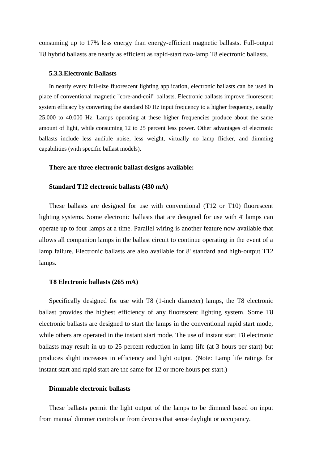consuming up to 17% less energy than energy-efficient magnetic ballasts. Full-output T8 hybrid ballasts are nearly as efficient as rapid-start two-lamp T8 electronic ballasts.

#### **5.3.3.Electronic Ballasts**

In nearly every full-size fluorescent lighting application, electronic ballasts can be used in place of conventional magnetic "core-and-coil" ballasts. Electronic ballasts improve fluorescent system efficacy by converting the standard 60 Hz input frequency to a higher frequency, usually 25,000 to 40,000 Hz. Lamps operating at these higher frequencies produce about the same amount of light, while consuming 12 to 25 percent less power. Other advantages of electronic ballasts include less audible noise, less weight, virtually no lamp flicker, and dimming capabilities (with specific ballast models).

#### **There are three electronic ballast designs available:**

#### **Standard T12 electronic ballasts (430 mA)**

These ballasts are designed for use with conventional (T12 or T10) fluorescent lighting systems. Some electronic ballasts that are designed for use with 4' lamps can operate up to four lamps at a time. Parallel wiring is another feature now available that allows all companion lamps in the ballast circuit to continue operating in the event of a lamp failure. Electronic ballasts are also available for 8' standard and high-output T12 lamps.

#### **T8 Electronic ballasts (265 mA)**

Specifically designed for use with T8 (1-inch diameter) lamps, the T8 electronic ballast provides the highest efficiency of any fluorescent lighting system. Some T8 electronic ballasts are designed to start the lamps in the conventional rapid start mode, while others are operated in the instant start mode. The use of instant start T8 electronic ballasts may result in up to 25 percent reduction in lamp life (at 3 hours per start) but produces slight increases in efficiency and light output. (Note: Lamp life ratings for instant start and rapid start are the same for 12 or more hours per start.)

## **Dimmable electronic ballasts**

These ballasts permit the light output of the lamps to be dimmed based on input from manual dimmer controls or from devices that sense daylight or occupancy.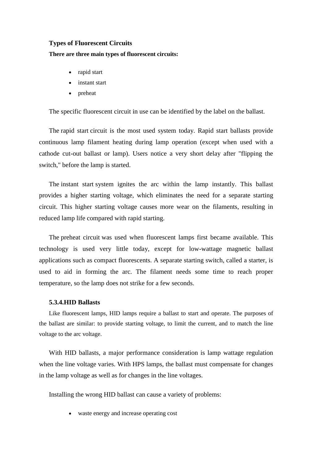#### **Types of Fluorescent Circuits**

#### **There are three main types of fluorescent circuits:**

- rapid start
- instant start
- preheat

The specific fluorescent circuit in use can be identified by the label on the ballast.

The rapid start circuit is the most used system today. Rapid start ballasts provide continuous lamp filament heating during lamp operation (except when used with a cathode cut-out ballast or lamp). Users notice a very short delay after "flipping the switch," before the lamp is started.

The instant start system ignites the arc within the lamp instantly. This ballast provides a higher starting voltage, which eliminates the need for a separate starting circuit. This higher starting voltage causes more wear on the filaments, resulting in reduced lamp life compared with rapid starting.

The preheat circuit was used when fluorescent lamps first became available. This technology is used very little today, except for low-wattage magnetic ballast applications such as compact fluorescents. A separate starting switch, called a starter, is used to aid in forming the arc. The filament needs some time to reach proper temperature, so the lamp does not strike for a few seconds.

### **5.3.4.HID Ballasts**

Like fluorescent lamps, HID lamps require a ballast to start and operate. The purposes of the ballast are similar: to provide starting voltage, to limit the current, and to match the line voltage to the arc voltage.

With HID ballasts, a major performance consideration is lamp wattage regulation when the line voltage varies. With HPS lamps, the ballast must compensate for changes in the lamp voltage as well as for changes in the line voltages.

Installing the wrong HID ballast can cause a variety of problems:

waste energy and increase operating cost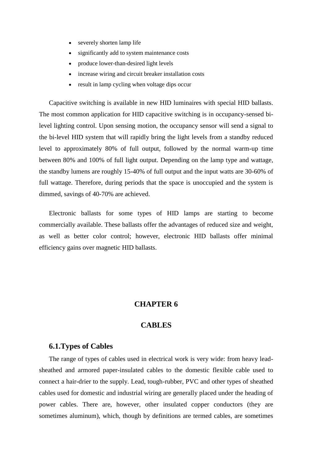- severely shorten lamp life
- significantly add to system maintenance costs
- produce lower-than-desired light levels
- increase wiring and circuit breaker installation costs
- result in lamp cycling when voltage dips occur

Capacitive switching is available in new HID luminaires with special HID ballasts. The most common application for HID capacitive switching is in occupancy-sensed bilevel lighting control. Upon sensing motion, the occupancy sensor will send a signal to the bi-level HID system that will rapidly bring the light levels from a standby reduced level to approximately 80% of full output, followed by the normal warm-up time between 80% and 100% of full light output. Depending on the lamp type and wattage, the standby lumens are roughly 15-40% of full output and the input watts are 30-60% of full wattage. Therefore, during periods that the space is unoccupied and the system is dimmed, savings of 40-70% are achieved.

Electronic ballasts for some types of HID lamps are starting to become commercially available. These ballasts offer the advantages of reduced size and weight, as well as better color control; however, electronic HID ballasts offer minimal efficiency gains over magnetic HID ballasts.

# **CHAPTER 6**

# **CABLES**

#### **6.1.Types of Cables**

The range of types of cables used in electrical work is very wide: from heavy leadsheathed and armored paper-insulated cables to the domestic flexible cable used to connect a hair-drier to the supply. Lead, tough-rubber, PVC and other types of sheathed cables used for domestic and industrial wiring are generally placed under the heading of power cables. There are, however, other insulated copper conductors (they are sometimes aluminum), which, though by definitions are termed cables, are sometimes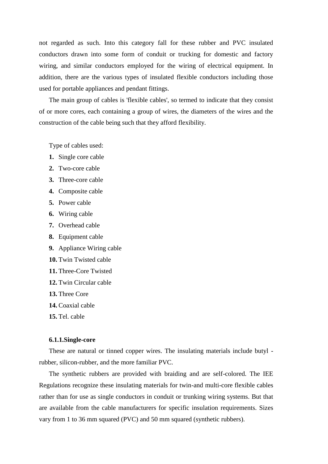not regarded as such. Into this category fall for these rubber and PVC insulated conductors drawn into some form of conduit or trucking for domestic and factory wiring, and similar conductors employed for the wiring of electrical equipment. In addition, there are the various types of insulated flexible conductors including those used for portable appliances and pendant fittings.

The main group of cables is 'flexible cables', so termed to indicate that they consist of or more cores, each containing a group of wires, the diameters of the wires and the construction of the cable being such that they afford flexibility.

Type of cables used:

- **1.** Single core cable
- **2.** Two-core cable
- **3.** Three-core cable
- **4.** Composite cable
- **5.** Power cable
- **6.** Wiring cable
- **7.** Overhead cable
- **8.** Equipment cable
- **9.** Appliance Wiring cable
- **10.** Twin Twisted cable
- **11.** Three-Core Twisted
- **12.** Twin Circular cable
- **13.** Three Core
- **14.** Coaxial cable
- **15.** Tel. cable

#### **6.1.1.Single-core**

These are natural or tinned copper wires. The insulating materials include butyl rubber, silicon-rubber, and the more familiar PVC.

The synthetic rubbers are provided with braiding and are self-colored. The IEE Regulations recognize these insulating materials for twin-and multi-core flexible cables rather than for use as single conductors in conduit or trunking wiring systems. But that are available from the cable manufacturers for specific insulation requirements. Sizes vary from 1 to 36 mm squared (PVC) and 50 mm squared (synthetic rubbers).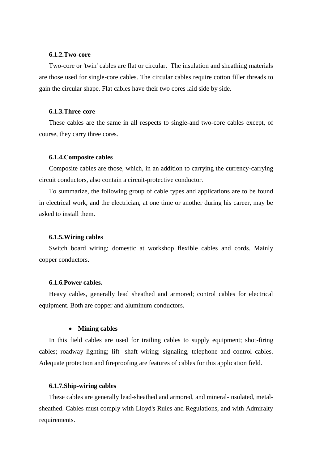#### **6.1.2.Two-core**

Two-core or 'twin' cables are flat or circular. The insulation and sheathing materials are those used for single-core cables. The circular cables require cotton filler threads to gain the circular shape. Flat cables have their two cores laid side by side.

#### **6.1.3.Three-core**

These cables are the same in all respects to single-and two-core cables except, of course, they carry three cores.

#### **6.1.4.Composite cables**

Composite cables are those, which, in an addition to carrying the currency-carrying circuit conductors, also contain a circuit-protective conductor.

To summarize, the following group of cable types and applications are to be found in electrical work, and the electrician, at one time or another during his career, may be asked to install them.

#### **6.1.5.Wiring cables**

Switch board wiring; domestic at workshop flexible cables and cords. Mainly copper conductors.

### **6.1.6.Power cables.**

Heavy cables, generally lead sheathed and armored; control cables for electrical equipment. Both are copper and aluminum conductors.

### **Mining cables**

In this field cables are used for trailing cables to supply equipment; shot-firing cables; roadway lighting; lift -shaft wiring; signaling, telephone and control cables. Adequate protection and fireproofing are features of cables for this application field.

#### **6.1.7.Ship-wiring cables**

These cables are generally lead-sheathed and armored, and mineral-insulated, metalsheathed. Cables must comply with Lloyd's Rules and Regulations, and with Admiralty requirements.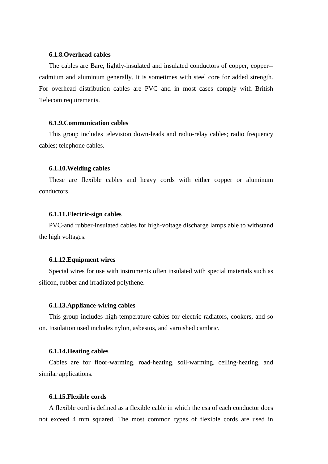#### **6.1.8.Overhead cables**

The cables are Bare, lightly-insulated and insulated conductors of copper, copper- cadmium and aluminum generally. It is sometimes with steel core for added strength. For overhead distribution cables are PVC and in most cases comply with British Telecom requirements.

#### **6.1.9.Communication cables**

This group includes television down-leads and radio-relay cables; radio frequency cables; telephone cables.

#### **6.1.10.Welding cables**

These are flexible cables and heavy cords with either copper or aluminum conductors.

#### **6.1.11.Electric-sign cables**

PVC-and rubber-insulated cables for high-voltage discharge lamps able to withstand the high voltages.

#### **6.1.12.Equipment wires**

Special wires for use with instruments often insulated with special materials such as silicon, rubber and irradiated polythene.

#### **6.1.13.Appliance-wiring cables**

This group includes high-temperature cables for electric radiators, cookers, and so on. Insulation used includes nylon, asbestos, and varnished cambric.

#### **6.1.14.Heating cables**

Cables are for floor-warming, road-heating, soil-warming, ceiling-heating, and similar applications.

# **6.1.15.Flexible cords**

A flexible cord is defined as a flexible cable in which the csa of each conductor does not exceed 4 mm squared. The most common types of flexible cords are used in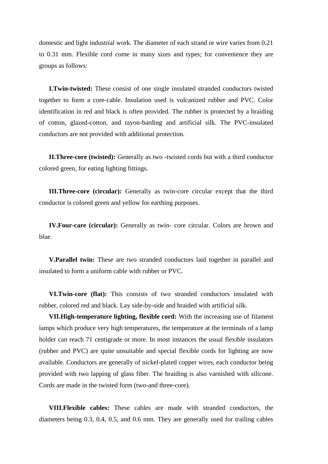domestic and light industrial work. The diameter of each strand or wire varies from 0.21 to 0.31 mm. Flexible cord come in many sizes and types; for convenience they are groups as follows:

**I.Twin-twisted:** These consist of one single insulated stranded conductors twisted together to form a core-cable. Insulation used is vulcanized rubber and PVC. Color identification in red and black is often provided. The rubber is protected by a braiding of cotton, glazed-cotton, and rayon-barding and artificial silk. The PVC-insulated conductors are not provided with additional protection.

**II.Three-core (twisted):** Generally as two -twisted cords but with a third conductor colored green, for eating lighting fittings.

**III.Three-core (circular):** Generally as twin-core circular except that the third conductor is colored green and yellow for earthing purposes.

**IV.Four-care (circular):** Generally as twin- core circular. Colors are brown and blue.

**V.Parallel twin:** These are two stranded conductors laid together in parallel and insulated to form a uniform cable with rubber or PVC.

**VI.Twin-core (flat):** This consists of two stranded conductors insulated with rubber, colored red and black. Lay side-by-side and braided with artificial silk.

**VII.High-temperature lighting, flexible cord:** With the increasing use of filament lamps which produce very high temperatures, the temperature at the terminals of a lamp holder can reach 71 centigrade or more. In most instances the usual flexible insulators (rubber and PVC) are quite unsuitable and special flexible cords for lighting are now available. Conductors are generally of nickel-plated copper wires, each conductor being provided with two lapping of glass fiber. The braiding is also varnished with silicone. Cords are made in the twisted form (two-and three-core).

**VIII.Flexible cables:** These cables are made with stranded conductors, the diameters being 0.3, 0.4, 0.5, and 0.6 mm. They are generally used for trailing cables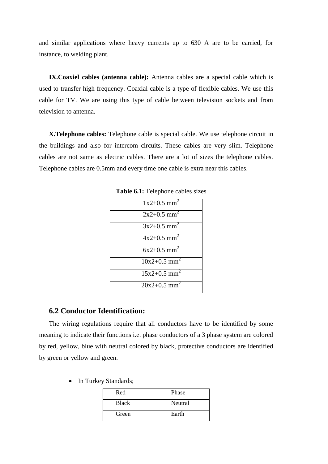and similar applications where heavy currents up to 630 A are to be carried, for instance, to welding plant.

**IX.Coaxiel cables (antenna cable):** Antenna cables are a special cable which is used to transfer high frequency. Coaxial cable is a type of flexible cables. We use this cable for TV. We are using this type of cable between television sockets and from television to antenna.

**X.Telephone cables:** Telephone cable is special cable. We use telephone circuit in the buildings and also for intercom circuits. These cables are very slim. Telephone cables are not same as electric cables. There are a lot of sizes the telephone cables. Telephone cables are 0.5mm and every time one cable is extra near this cables.

| $1x2+0.5$ mm <sup>2</sup>  |
|----------------------------|
| $2x2+0.5$ mm <sup>2</sup>  |
| $3x2+0.5$ mm <sup>2</sup>  |
| $4x2+0.5$ mm <sup>2</sup>  |
| $6x2+0.5$ mm <sup>2</sup>  |
| $10x2+0.5$ mm <sup>2</sup> |
| $15x2+0.5$ mm <sup>2</sup> |
| $20x2+0.5$ mm <sup>2</sup> |

**Table 6.1:** Telephone cables sizes

# **6.2 Conductor Identification:**

The wiring regulations require that all conductors have to be identified by some meaning to indicate their functions i.e. phase conductors of a 3 phase system are colored by red, yellow, blue with neutral colored by black, protective conductors are identified by green or yellow and green.

• In Turkey Standards;

| Red          | Phase   |
|--------------|---------|
| <b>Black</b> | Neutral |
| Green        | Earth   |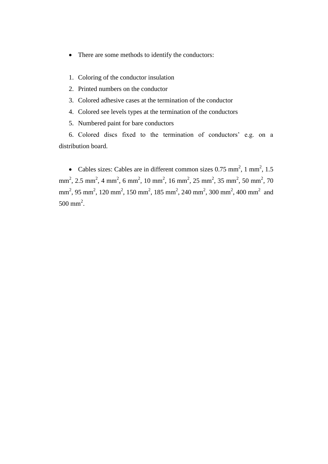- There are some methods to identify the conductors:
- 1. Coloring of the conductor insulation
- 2. Printed numbers on the conductor
- 3. Colored adhesive cases at the termination of the conductor
- 4. Colored see levels types at the termination of the conductors
- 5. Numbered paint for bare conductors

6. Colored discs fixed to the termination of conductors" e.g. on a distribution board.

• Cables sizes: Cables are in different common sizes  $0.75 \text{ mm}^2$ ,  $1 \text{ mm}^2$ ,  $1.5$  $mm^2$ , 2.5 mm<sup>2</sup>, 4 mm<sup>2</sup>, 6 mm<sup>2</sup>, 10 mm<sup>2</sup>, 16 mm<sup>2</sup>, 25 mm<sup>2</sup>, 35 mm<sup>2</sup>, 50 mm<sup>2</sup>, 70  $mm^2$ , 95 mm<sup>2</sup>, 120 mm<sup>2</sup>, 150 mm<sup>2</sup>, 185 mm<sup>2</sup>, 240 mm<sup>2</sup>, 300 mm<sup>2</sup>, 400 mm<sup>2</sup> and  $500 \text{ mm}^2$ .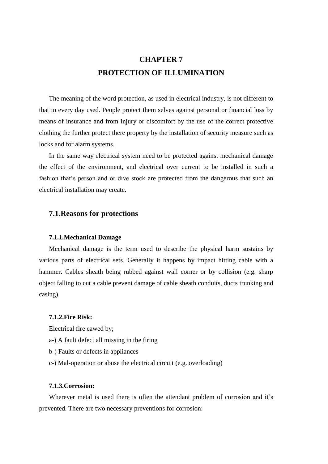# **CHAPTER 7 PROTECTION OF ILLUMINATION**

The meaning of the word protection, as used in electrical industry, is not different to that in every day used. People protect them selves against personal or financial loss by means of insurance and from injury or discomfort by the use of the correct protective clothing the further protect there property by the installation of security measure such as locks and for alarm systems.

In the same way electrical system need to be protected against mechanical damage the effect of the environment, and electrical over current to be installed in such a fashion that's person and or dive stock are protected from the dangerous that such an electrical installation may create.

# **7.1.Reasons for protections**

#### **7.1.1.Mechanical Damage**

Mechanical damage is the term used to describe the physical harm sustains by various parts of electrical sets. Generally it happens by impact hitting cable with a hammer. Cables sheath being rubbed against wall corner or by collision (e.g. sharp object falling to cut a cable prevent damage of cable sheath conduits, ducts trunking and casing).

#### **7.1.2.Fire Risk:**

Electrical fire cawed by;

- a-) A fault defect all missing in the firing
- b-) Faults or defects in appliances
- c-) Mal-operation or abuse the electrical circuit (e.g. overloading)

#### **7.1.3.Corrosion:**

Wherever metal is used there is often the attendant problem of corrosion and it's prevented. There are two necessary preventions for corrosion: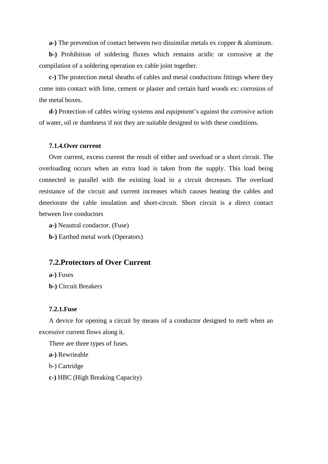**a-)** The prevention of contact between two dissimilar metals ex copper & aluminum.

**b-)** Prohibition of soldering fluxes which remains acidic or corrosive at the compilation of a soldering operation ex cable joint together.

**c-)** The protection metal sheaths of cables and metal conductions fittings where they come into contact with lime, cement or plaster and certain hard woods ex: corrosion of the metal boxes.

**d**-) Protection of cables wiring systems and equipment's against the corrosive action of water, oil or dumbness if not they are suitable designed to with these conditions.

#### **7.1.4.Over current**

Over current, excess current the result of either and overload or a short circuit. The overloading occurs when an extra load is taken from the supply. This load being connected in parallel with the existing load in a circuit decreases. The overload resistance of the circuit and current increases which causes heating the cables and deteriorate the cable insulation and short-circuit. Short circuit is a direct contact between live conductors

**a-)** Neautral condactor. (Fuse)

**b-)** Earthed metal work (Operators)

# **7.2.Protectors of Over Current**

**a-)** Fuses

**b-)** Circuit Breakers

#### **7.2.1.Fuse**

A device for opening a circuit by means of a conductor designed to melt when an excessive current flows along it.

There are three types of fuses.

**a-)** Rewrieable

b-) Cartridge

**c-)** HBC (High Breaking Capacity)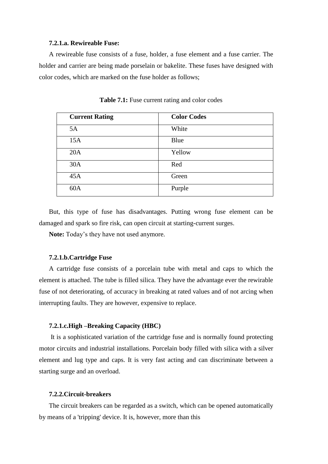#### **7.2.1.a. Rewireable Fuse:**

A rewireable fuse consists of a fuse, holder, a fuse element and a fuse carrier. The holder and carrier are being made porselain or bakelite. These fuses have designed with color codes, which are marked on the fuse holder as follows;

| <b>Current Rating</b> | <b>Color Codes</b> |
|-----------------------|--------------------|
| 5A                    | White              |
| 15A                   | Blue               |
| 20A                   | Yellow             |
| 30A                   | Red                |
| 45A                   | Green              |
| 60A                   | Purple             |

**Table 7.1:** Fuse current rating and color codes

But, this type of fuse has disadvantages. Putting wrong fuse element can be damaged and spark so fire risk, can open circuit at starting-current surges.

**Note:** Today"s they have not used anymore.

#### **7.2.1.b.Cartridge Fuse**

A cartridge fuse consists of a porcelain tube with metal and caps to which the element is attached. The tube is filled silica. They have the advantage ever the rewirable fuse of not deteriorating, of accuracy in breaking at rated values and of not arcing when interrupting faults. They are however, expensive to replace.

#### **7.2.1.c.High –Breaking Capacity (HBC)**

It is a sophisticated variation of the cartridge fuse and is normally found protecting motor circuits and industrial installations. Porcelain body filled with silica with a silver element and lug type and caps. It is very fast acting and can discriminate between a starting surge and an overload.

# **7.2.2.Circuit-breakers**

The circuit breakers can be regarded as a switch, which can be opened automatically by means of a 'tripping' device. It is, however, more than this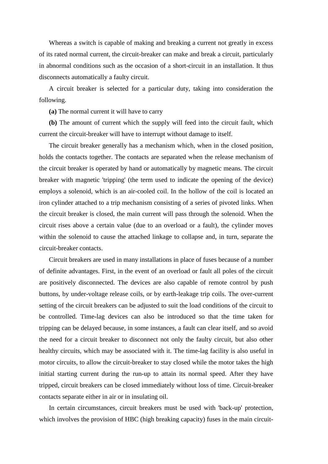Whereas a switch is capable of making and breaking a current not greatly in excess of its rated normal current, the circuit-breaker can make and break a circuit, particularly in abnormal conditions such as the occasion of a short-circuit in an installation. It thus disconnects automatically a faulty circuit.

A circuit breaker is selected for a particular duty, taking into consideration the following.

**(a)** The normal current it will have to carry

**(b)** The amount of current which the supply will feed into the circuit fault, which current the circuit-breaker will have to interrupt without damage to itself.

The circuit breaker generally has a mechanism which, when in the closed position, holds the contacts together. The contacts are separated when the release mechanism of the circuit breaker is operated by hand or automatically by magnetic means. The circuit breaker with magnetic 'tripping' (the term used to indicate the opening of the device) employs a solenoid, which is an air-cooled coil. In the hollow of the coil is located an iron cylinder attached to a trip mechanism consisting of a series of pivoted links. When the circuit breaker is closed, the main current will pass through the solenoid. When the circuit rises above a certain value (due to an overload or a fault), the cylinder moves within the solenoid to cause the attached linkage to collapse and, in turn, separate the circuit-breaker contacts.

Circuit breakers are used in many installations in place of fuses because of a number of definite advantages. First, in the event of an overload or fault all poles of the circuit are positively disconnected. The devices are also capable of remote control by push buttons, by under-voltage release coils, or by earth-leakage trip coils. The over-current setting of the circuit breakers can be adjusted to suit the load conditions of the circuit to be controlled. Time-lag devices can also be introduced so that the time taken for tripping can be delayed because, in some instances, a fault can clear itself, and so avoid the need for a circuit breaker to disconnect not only the faulty circuit, but also other healthy circuits, which may be associated with it. The time-lag facility is also useful in motor circuits, to allow the circuit-breaker to stay closed while the motor takes the high initial starting current during the run-up to attain its normal speed. After they have tripped, circuit breakers can be closed immediately without loss of time. Circuit-breaker contacts separate either in air or in insulating oil.

In certain circumstances, circuit breakers must be used with 'back-up' protection, which involves the provision of HBC (high breaking capacity) fuses in the main circuit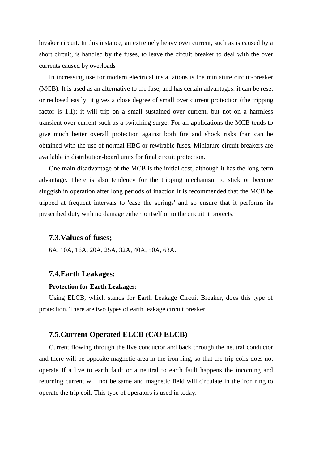breaker circuit. In this instance, an extremely heavy over current, such as is caused by a short circuit, is handled by the fuses, to leave the circuit breaker to deal with the over currents caused by overloads

In increasing use for modern electrical installations is the miniature circuit-breaker (MCB). It is used as an alternative to the fuse, and has certain advantages: it can be reset or reclosed easily; it gives a close degree of small over current protection (the tripping factor is 1.1); it will trip on a small sustained over current, but not on a harmless transient over current such as a switching surge. For all applications the MCB tends to give much better overall protection against both fire and shock risks than can be obtained with the use of normal HBC or rewirable fuses. Miniature circuit breakers are available in distribution-board units for final circuit protection.

One main disadvantage of the MCB is the initial cost, although it has the long-term advantage. There is also tendency for the tripping mechanism to stick or become sluggish in operation after long periods of inaction It is recommended that the MCB be tripped at frequent intervals to 'ease the springs' and so ensure that it performs its prescribed duty with no damage either to itself or to the circuit it protects.

### **7.3.Values of fuses;**

6A, 10A, 16A, 20A, 25A, 32A, 40A, 50A, 63A.

# **7.4.Earth Leakages:**

# **Protection for Earth Leakages:**

Using ELCB, which stands for Earth Leakage Circuit Breaker, does this type of protection. There are two types of earth leakage circuit breaker.

# **7.5.Current Operated ELCB (C/O ELCB)**

Current flowing through the live conductor and back through the neutral conductor and there will be opposite magnetic area in the iron ring, so that the trip coils does not operate If a live to earth fault or a neutral to earth fault happens the incoming and returning current will not be same and magnetic field will circulate in the iron ring to operate the trip coil. This type of operators is used in today.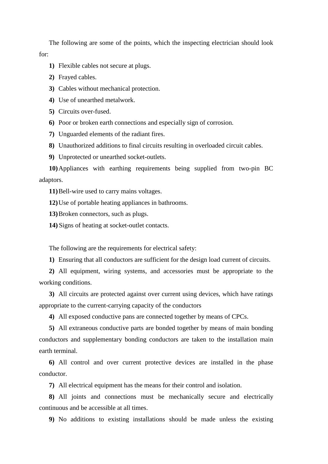The following are some of the points, which the inspecting electrician should look for:

- **1)** Flexible cables not secure at plugs.
- **2)** Frayed cables.
- **3)** Cables without mechanical protection.
- **4)** Use of unearthed metalwork.
- **5)** Circuits over-fused.
- **6)** Poor or broken earth connections and especially sign of corrosion.
- **7)** Unguarded elements of the radiant fires.
- **8)** Unauthorized additions to final circuits resulting in overloaded circuit cables.
- **9)** Unprotected or unearthed socket-outlets.

**10)**Appliances with earthing requirements being supplied from two-pin BC adaptors.

**11)**Bell-wire used to carry mains voltages.

- **12)**Use of portable heating appliances in bathrooms.
- **13)**Broken connectors, such as plugs.
- **14)** Signs of heating at socket-outlet contacts.

The following are the requirements for electrical safety:

**1)** Ensuring that all conductors are sufficient for the design load current of circuits.

**2)** All equipment, wiring systems, and accessories must be appropriate to the working conditions.

**3)** All circuits are protected against over current using devices, which have ratings appropriate to the current-carrying capacity of the conductors

**4)** All exposed conductive pans are connected together by means of CPCs.

**5)** All extraneous conductive parts are bonded together by means of main bonding conductors and supplementary bonding conductors are taken to the installation main earth terminal.

**6)** All control and over current protective devices are installed in the phase conductor.

**7)** All electrical equipment has the means for their control and isolation.

**8)** All joints and connections must be mechanically secure and electrically continuous and be accessible at all times.

**9)** No additions to existing installations should be made unless the existing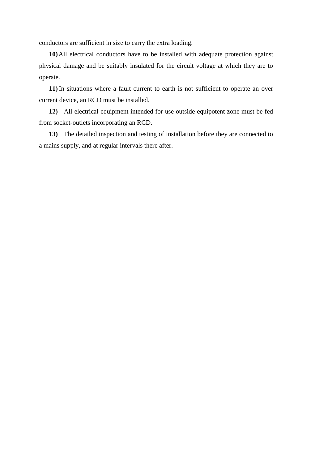conductors are sufficient in size to carry the extra loading.

**10)**All electrical conductors have to be installed with adequate protection against physical damage and be suitably insulated for the circuit voltage at which they are to operate.

**11)** In situations where a fault current to earth is not sufficient to operate an over current device, an RCD must be installed.

**12)** All electrical equipment intended for use outside equipotent zone must be fed from socket-outlets incorporating an RCD.

**13)** The detailed inspection and testing of installation before they are connected to a mains supply, and at regular intervals there after.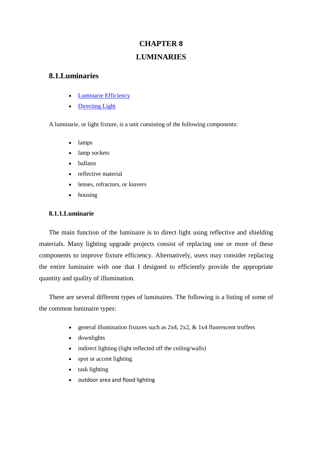# **CHAPTER 8 LUMINARIES**

# **8.1.Luminaries**

- [Luminarie](http://www-is.informatik.uni-oldenburg.de/~dibo/teaching/mm/pages/light-fundamentals.html#Luminaire Efficiency) Efficiency
- [Directing](http://www-is.informatik.uni-oldenburg.de/~dibo/teaching/mm/pages/light-fundamentals.html#Directing Light) Light

A luminarie, or light fixture, is a unit consisting of the following components:

- lamps
- lamp sockets
- **ballasts**
- reflective material
- lenses, refractors, or louvers
- housing

# **8.1.1.Luminarie**

The main function of the luminaire is to direct light using reflective and shielding materials. Many lighting upgrade projects consist of replacing one or more of these components to improve fixture efficiency. Alternatively, users may consider replacing the entire luminaire with one that I designed to efficiently provide the appropriate quantity and quality of illumination.

There are several different types of luminaires. The following is a listing of some of the common luminaire types:

- e general illumination fixtures such as  $2x4$ ,  $2x2$ ,  $\&$  1x4 fluorescent troffers
- downlights
- indirect lighting (light reflected off the ceiling/walls)
- spot or accent lighting
- task lighting
- outdoor area and flood lighting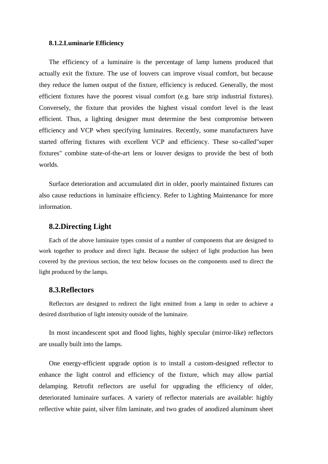#### **8.1.2.Luminarie Efficiency**

The efficiency of a luminaire is the percentage of lamp lumens produced that actually exit the fixture. The use of louvers can improve visual comfort, but because they reduce the lumen output of the fixture, efficiency is reduced. Generally, the most efficient fixtures have the poorest visual comfort (e.g. bare strip industrial fixtures). Conversely, the fixture that provides the highest visual comfort level is the least efficient. Thus, a lighting designer must determine the best compromise between efficiency and VCP when specifying luminaires. Recently, some manufacturers have started offering fixtures with excellent VCP and efficiency. These so-called"super fixtures" combine state-of-the-art lens or louver designs to provide the best of both worlds.

Surface deterioration and accumulated dirt in older, poorly maintained fixtures can also cause reductions in luminaire efficiency. Refer to Lighting Maintenance for more information.

# **8.2.Directing Light**

Each of the above luminaire types consist of a number of components that are designed to work together to produce and direct light. Because the subject of light production has been covered by the previous section, the text below focuses on the components used to direct the light produced by the lamps.

#### **8.3.Reflectors**

Reflectors are designed to redirect the light emitted from a lamp in order to achieve a desired distribution of light intensity outside of the luminaire.

In most incandescent spot and flood lights, highly specular (mirror-like) reflectors are usually built into the lamps.

One energy-efficient upgrade option is to install a custom-designed reflector to enhance the light control and efficiency of the fixture, which may allow partial delamping. Retrofit reflectors are useful for upgrading the efficiency of older, deteriorated luminaire surfaces. A variety of reflector materials are available: highly reflective white paint, silver film laminate, and two grades of anodized aluminum sheet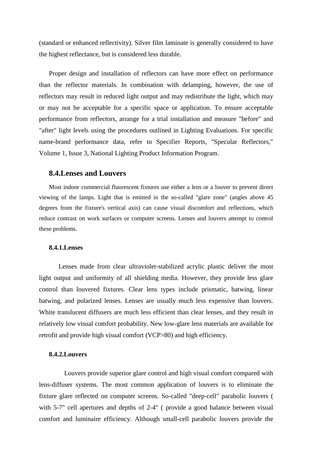(standard or enhanced reflectivity). Silver film laminate is generally considered to have the highest reflectance, but is considered less durable.

Proper design and installation of reflectors can have more effect on performance than the reflector materials. In combination with delamping, however, the use of reflectors may result in reduced light output and may redistribute the light, which may or may not be acceptable for a specific space or application. To ensure acceptable performance from reflectors, arrange for a trial installation and measure "before" and "after" light levels using the procedures outlined in Lighting Evaluations. For specific name-brand performance data, refer to Specifier Reports, "Specular Reflectors," Volume 1, Issue 3, National Lighting Product Information Program.

# **8.4.Lenses and Louvers**

Most indoor commercial fluorescent fixtures use either a lens or a louver to prevent direct viewing of the lamps. Light that is emitted in the so-called "glare zone" (angles above 45 degrees from the fixture's vertical axis) can cause visual discomfort and reflections, which reduce contrast on work surfaces or computer screens. Lenses and louvers attempt to control these problems.

#### **8.4.1.Lenses**

Lenses made from clear ultraviolet-stabilized acrylic plastic deliver the most light output and uniformity of all shielding media. However, they provide less glare control than louvered fixtures. Clear lens types include prismatic, batwing, linear batwing, and polarized lenses. Lenses are usually much less expensive than louvers. White translucent diffusers are much less efficient than clear lenses, and they result in relatively low visual comfort probability. New low-glare lens materials are available for retrofit and provide high visual comfort (VCP>80) and high efficiency.

#### **8.4.2.Louvers**

Louvers provide superior glare control and high visual comfort compared with lens-diffuser systems. The most common application of louvers is to eliminate the fixture glare reflected on computer screens. So-called "deep-cell" parabolic louvers ( with 5-7" cell apertures and depths of 2-4" ( provide a good balance between visual comfort and luminaire efficiency. Although small-cell parabolic louvers provide the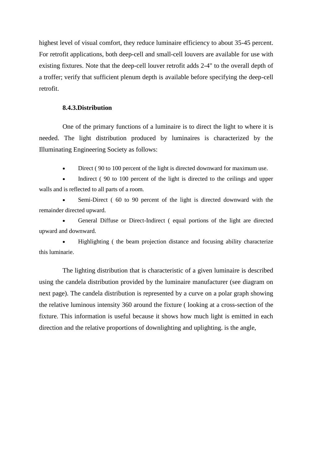highest level of visual comfort, they reduce luminaire efficiency to about 35-45 percent. For retrofit applications, both deep-cell and small-cell louvers are available for use with existing fixtures. Note that the deep-cell louver retrofit adds 2-4" to the overall depth of a troffer; verify that sufficient plenum depth is available before specifying the deep-cell retrofit.

## **8.4.3.Distribution**

One of the primary functions of a luminaire is to direct the light to where it is needed. The light distribution produced by luminaires is characterized by the Illuminating Engineering Society as follows:

• Direct (90 to 100 percent of the light is directed downward for maximum use.

 Indirect ( 90 to 100 percent of the light is directed to the ceilings and upper walls and is reflected to all parts of a room.

 Semi-Direct ( 60 to 90 percent of the light is directed downward with the remainder directed upward.

 General Diffuse or Direct-Indirect ( equal portions of the light are directed upward and downward.

 Highlighting ( the beam projection distance and focusing ability characterize this luminarie.

The lighting distribution that is characteristic of a given luminaire is described using the candela distribution provided by the luminaire manufacturer (see diagram on next page). The candela distribution is represented by a curve on a polar graph showing the relative luminous intensity 360 around the fixture ( looking at a cross-section of the fixture. This information is useful because it shows how much light is emitted in each direction and the relative proportions of downlighting and uplighting. is the angle,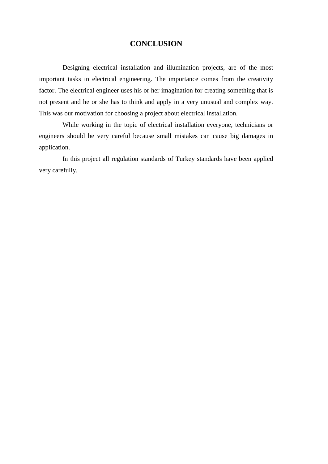## **CONCLUSION**

Designing electrical installation and illumination projects, are of the most important tasks in electrical engineering. The importance comes from the creativity factor. The electrical engineer uses his or her imagination for creating something that is not present and he or she has to think and apply in a very unusual and complex way. This was our motivation for choosing a project about electrical installation.

While working in the topic of electrical installation everyone, technicians or engineers should be very careful because small mistakes can cause big damages in application.

In this project all regulation standards of Turkey standards have been applied very carefully.